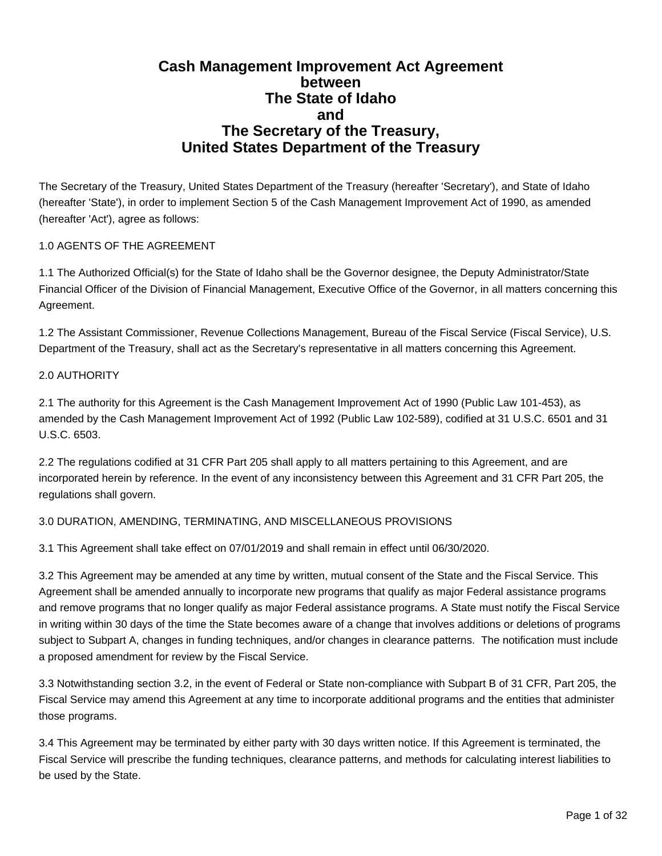# **Cash Management Improvement Act Agreement between The State of Idaho and The Secretary of the Treasury, United States Department of the Treasury**

The Secretary of the Treasury, United States Department of the Treasury (hereafter 'Secretary'), and State of Idaho (hereafter 'State'), in order to implement Section 5 of the Cash Management Improvement Act of 1990, as amended (hereafter 'Act'), agree as follows:

# 1.0 AGENTS OF THE AGREEMENT

1.1 The Authorized Official(s) for the State of Idaho shall be the Governor designee, the Deputy Administrator/State Financial Officer of the Division of Financial Management, Executive Office of the Governor, in all matters concerning this Agreement.

1.2 The Assistant Commissioner, Revenue Collections Management, Bureau of the Fiscal Service (Fiscal Service), U.S. Department of the Treasury, shall act as the Secretary's representative in all matters concerning this Agreement.

# 2.0 AUTHORITY

2.1 The authority for this Agreement is the Cash Management Improvement Act of 1990 (Public Law 101-453), as amended by the Cash Management Improvement Act of 1992 (Public Law 102-589), codified at 31 U.S.C. 6501 and 31 U.S.C. 6503.

2.2 The regulations codified at 31 CFR Part 205 shall apply to all matters pertaining to this Agreement, and are incorporated herein by reference. In the event of any inconsistency between this Agreement and 31 CFR Part 205, the regulations shall govern.

# 3.0 DURATION, AMENDING, TERMINATING, AND MISCELLANEOUS PROVISIONS

3.1 This Agreement shall take effect on 07/01/2019 and shall remain in effect until 06/30/2020.

3.2 This Agreement may be amended at any time by written, mutual consent of the State and the Fiscal Service. This Agreement shall be amended annually to incorporate new programs that qualify as major Federal assistance programs and remove programs that no longer qualify as major Federal assistance programs. A State must notify the Fiscal Service in writing within 30 days of the time the State becomes aware of a change that involves additions or deletions of programs subject to Subpart A, changes in funding techniques, and/or changes in clearance patterns. The notification must include a proposed amendment for review by the Fiscal Service.

3.3 Notwithstanding section 3.2, in the event of Federal or State non-compliance with Subpart B of 31 CFR, Part 205, the Fiscal Service may amend this Agreement at any time to incorporate additional programs and the entities that administer those programs.

3.4 This Agreement may be terminated by either party with 30 days written notice. If this Agreement is terminated, the Fiscal Service will prescribe the funding techniques, clearance patterns, and methods for calculating interest liabilities to be used by the State.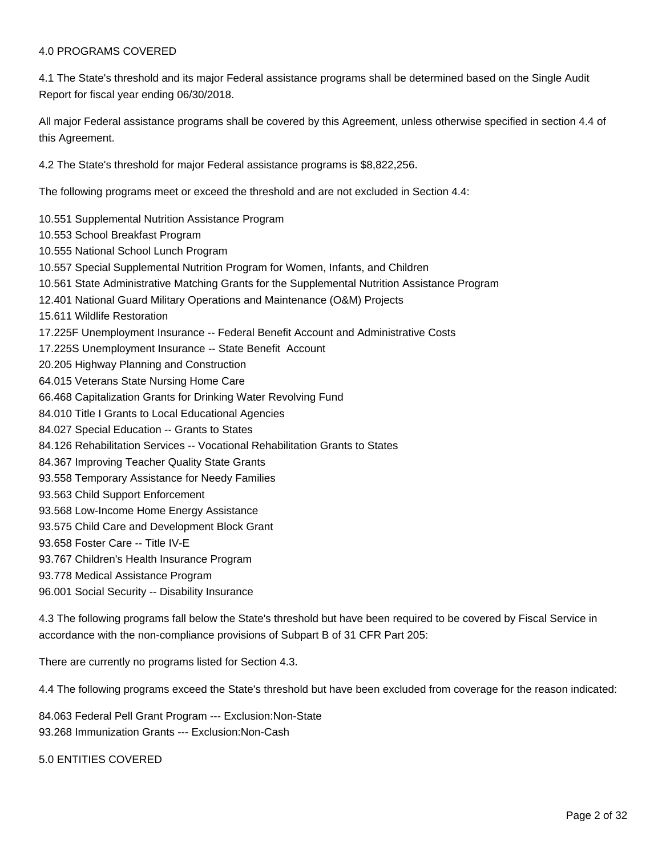#### 4.0 PROGRAMS COVERED

4.1 The State's threshold and its major Federal assistance programs shall be determined based on the Single Audit Report for fiscal year ending 06/30/2018.

All major Federal assistance programs shall be covered by this Agreement, unless otherwise specified in section 4.4 of this Agreement.

4.2 The State's threshold for major Federal assistance programs is \$8,822,256.

The following programs meet or exceed the threshold and are not excluded in Section 4.4:

- 10.551 Supplemental Nutrition Assistance Program
- 10.553 School Breakfast Program
- 10.555 National School Lunch Program
- 10.557 Special Supplemental Nutrition Program for Women, Infants, and Children
- 10.561 State Administrative Matching Grants for the Supplemental Nutrition Assistance Program
- 12.401 National Guard Military Operations and Maintenance (O&M) Projects
- 15.611 Wildlife Restoration
- 17.225F Unemployment Insurance -- Federal Benefit Account and Administrative Costs
- 17.225S Unemployment Insurance -- State Benefit Account
- 20.205 Highway Planning and Construction
- 64.015 Veterans State Nursing Home Care
- 66.468 Capitalization Grants for Drinking Water Revolving Fund
- 84.010 Title I Grants to Local Educational Agencies
- 84.027 Special Education -- Grants to States
- 84.126 Rehabilitation Services -- Vocational Rehabilitation Grants to States
- 84.367 Improving Teacher Quality State Grants
- 93.558 Temporary Assistance for Needy Families
- 93.563 Child Support Enforcement
- 93.568 Low-Income Home Energy Assistance
- 93.575 Child Care and Development Block Grant
- 93.658 Foster Care -- Title IV-E
- 93.767 Children's Health Insurance Program
- 93.778 Medical Assistance Program
- 96.001 Social Security -- Disability Insurance

4.3 The following programs fall below the State's threshold but have been required to be covered by Fiscal Service in accordance with the non-compliance provisions of Subpart B of 31 CFR Part 205:

There are currently no programs listed for Section 4.3.

4.4 The following programs exceed the State's threshold but have been excluded from coverage for the reason indicated:

84.063 Federal Pell Grant Program --- Exclusion:Non-State 93.268 Immunization Grants --- Exclusion:Non-Cash

5.0 ENTITIES COVERED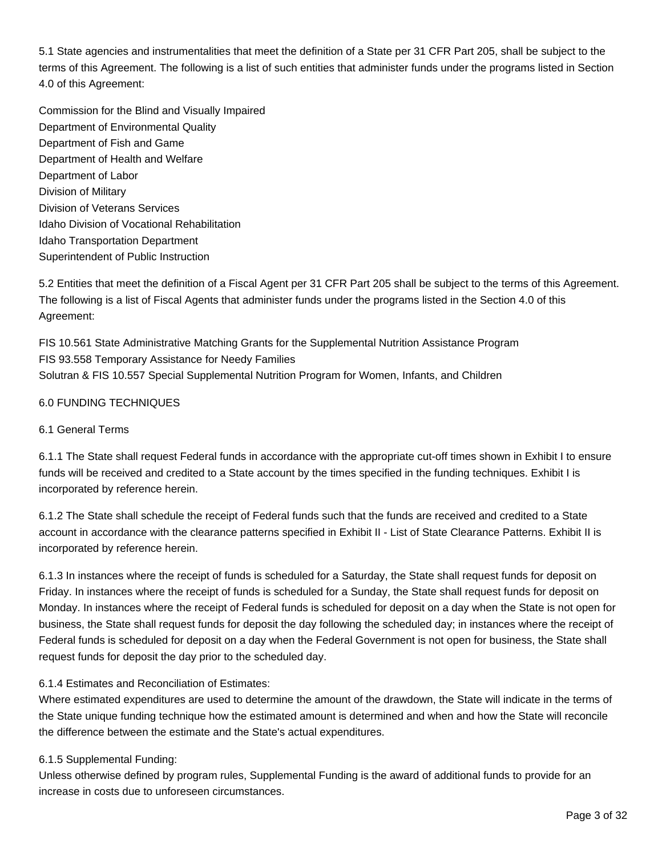5.1 State agencies and instrumentalities that meet the definition of a State per 31 CFR Part 205, shall be subject to the terms of this Agreement. The following is a list of such entities that administer funds under the programs listed in Section 4.0 of this Agreement:

Commission for the Blind and Visually Impaired Department of Environmental Quality Department of Fish and Game Department of Health and Welfare Department of Labor Division of Military Division of Veterans Services Idaho Division of Vocational Rehabilitation Idaho Transportation Department Superintendent of Public Instruction

5.2 Entities that meet the definition of a Fiscal Agent per 31 CFR Part 205 shall be subject to the terms of this Agreement. The following is a list of Fiscal Agents that administer funds under the programs listed in the Section 4.0 of this Agreement:

FIS 10.561 State Administrative Matching Grants for the Supplemental Nutrition Assistance Program FIS 93.558 Temporary Assistance for Needy Families Solutran & FIS 10.557 Special Supplemental Nutrition Program for Women, Infants, and Children

# 6.0 FUNDING TECHNIQUES

# 6.1 General Terms

6.1.1 The State shall request Federal funds in accordance with the appropriate cut-off times shown in Exhibit I to ensure funds will be received and credited to a State account by the times specified in the funding techniques. Exhibit I is incorporated by reference herein.

6.1.2 The State shall schedule the receipt of Federal funds such that the funds are received and credited to a State account in accordance with the clearance patterns specified in Exhibit II - List of State Clearance Patterns. Exhibit II is incorporated by reference herein.

6.1.3 In instances where the receipt of funds is scheduled for a Saturday, the State shall request funds for deposit on Friday. In instances where the receipt of funds is scheduled for a Sunday, the State shall request funds for deposit on Monday. In instances where the receipt of Federal funds is scheduled for deposit on a day when the State is not open for business, the State shall request funds for deposit the day following the scheduled day; in instances where the receipt of Federal funds is scheduled for deposit on a day when the Federal Government is not open for business, the State shall request funds for deposit the day prior to the scheduled day.

# 6.1.4 Estimates and Reconciliation of Estimates:

Where estimated expenditures are used to determine the amount of the drawdown, the State will indicate in the terms of the State unique funding technique how the estimated amount is determined and when and how the State will reconcile the difference between the estimate and the State's actual expenditures.

# 6.1.5 Supplemental Funding:

Unless otherwise defined by program rules, Supplemental Funding is the award of additional funds to provide for an increase in costs due to unforeseen circumstances.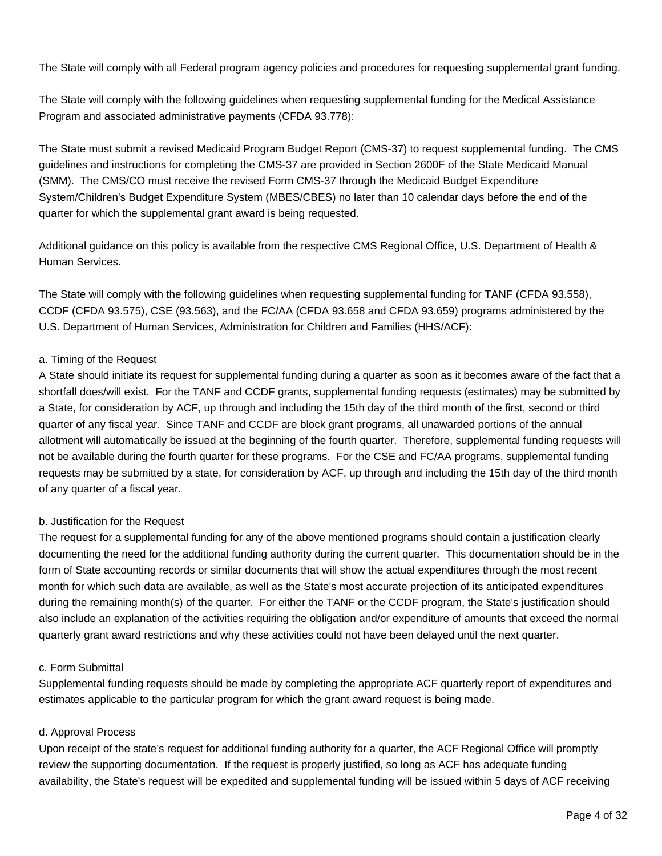The State will comply with all Federal program agency policies and procedures for requesting supplemental grant funding.

The State will comply with the following guidelines when requesting supplemental funding for the Medical Assistance Program and associated administrative payments (CFDA 93.778):

The State must submit a revised Medicaid Program Budget Report (CMS-37) to request supplemental funding. The CMS guidelines and instructions for completing the CMS-37 are provided in Section 2600F of the State Medicaid Manual (SMM). The CMS/CO must receive the revised Form CMS-37 through the Medicaid Budget Expenditure System/Children's Budget Expenditure System (MBES/CBES) no later than 10 calendar days before the end of the quarter for which the supplemental grant award is being requested.

Additional guidance on this policy is available from the respective CMS Regional Office, U.S. Department of Health & Human Services.

The State will comply with the following guidelines when requesting supplemental funding for TANF (CFDA 93.558), CCDF (CFDA 93.575), CSE (93.563), and the FC/AA (CFDA 93.658 and CFDA 93.659) programs administered by the U.S. Department of Human Services, Administration for Children and Families (HHS/ACF):

# a. Timing of the Request

A State should initiate its request for supplemental funding during a quarter as soon as it becomes aware of the fact that a shortfall does/will exist. For the TANF and CCDF grants, supplemental funding requests (estimates) may be submitted by a State, for consideration by ACF, up through and including the 15th day of the third month of the first, second or third quarter of any fiscal year. Since TANF and CCDF are block grant programs, all unawarded portions of the annual allotment will automatically be issued at the beginning of the fourth quarter. Therefore, supplemental funding requests will not be available during the fourth quarter for these programs. For the CSE and FC/AA programs, supplemental funding requests may be submitted by a state, for consideration by ACF, up through and including the 15th day of the third month of any quarter of a fiscal year.

# b. Justification for the Request

The request for a supplemental funding for any of the above mentioned programs should contain a justification clearly documenting the need for the additional funding authority during the current quarter. This documentation should be in the form of State accounting records or similar documents that will show the actual expenditures through the most recent month for which such data are available, as well as the State's most accurate projection of its anticipated expenditures during the remaining month(s) of the quarter. For either the TANF or the CCDF program, the State's justification should also include an explanation of the activities requiring the obligation and/or expenditure of amounts that exceed the normal quarterly grant award restrictions and why these activities could not have been delayed until the next quarter.

# c. Form Submittal

Supplemental funding requests should be made by completing the appropriate ACF quarterly report of expenditures and estimates applicable to the particular program for which the grant award request is being made.

# d. Approval Process

Upon receipt of the state's request for additional funding authority for a quarter, the ACF Regional Office will promptly review the supporting documentation. If the request is properly justified, so long as ACF has adequate funding availability, the State's request will be expedited and supplemental funding will be issued within 5 days of ACF receiving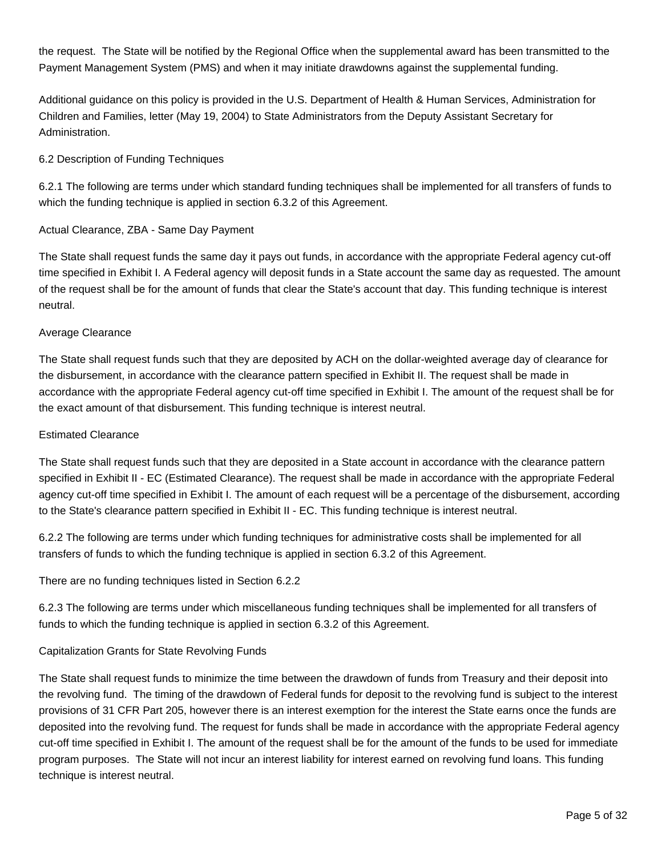the request. The State will be notified by the Regional Office when the supplemental award has been transmitted to the Payment Management System (PMS) and when it may initiate drawdowns against the supplemental funding.

Additional guidance on this policy is provided in the U.S. Department of Health & Human Services, Administration for Children and Families, letter (May 19, 2004) to State Administrators from the Deputy Assistant Secretary for Administration.

# 6.2 Description of Funding Techniques

6.2.1 The following are terms under which standard funding techniques shall be implemented for all transfers of funds to which the funding technique is applied in section 6.3.2 of this Agreement.

# Actual Clearance, ZBA - Same Day Payment

The State shall request funds the same day it pays out funds, in accordance with the appropriate Federal agency cut-off time specified in Exhibit I. A Federal agency will deposit funds in a State account the same day as requested. The amount of the request shall be for the amount of funds that clear the State's account that day. This funding technique is interest neutral.

# Average Clearance

The State shall request funds such that they are deposited by ACH on the dollar-weighted average day of clearance for the disbursement, in accordance with the clearance pattern specified in Exhibit II. The request shall be made in accordance with the appropriate Federal agency cut-off time specified in Exhibit I. The amount of the request shall be for the exact amount of that disbursement. This funding technique is interest neutral.

# Estimated Clearance

The State shall request funds such that they are deposited in a State account in accordance with the clearance pattern specified in Exhibit II - EC (Estimated Clearance). The request shall be made in accordance with the appropriate Federal agency cut-off time specified in Exhibit I. The amount of each request will be a percentage of the disbursement, according to the State's clearance pattern specified in Exhibit II - EC. This funding technique is interest neutral.

6.2.2 The following are terms under which funding techniques for administrative costs shall be implemented for all transfers of funds to which the funding technique is applied in section 6.3.2 of this Agreement.

There are no funding techniques listed in Section 6.2.2

6.2.3 The following are terms under which miscellaneous funding techniques shall be implemented for all transfers of funds to which the funding technique is applied in section 6.3.2 of this Agreement.

# Capitalization Grants for State Revolving Funds

The State shall request funds to minimize the time between the drawdown of funds from Treasury and their deposit into the revolving fund. The timing of the drawdown of Federal funds for deposit to the revolving fund is subject to the interest provisions of 31 CFR Part 205, however there is an interest exemption for the interest the State earns once the funds are deposited into the revolving fund. The request for funds shall be made in accordance with the appropriate Federal agency cut-off time specified in Exhibit I. The amount of the request shall be for the amount of the funds to be used for immediate program purposes. The State will not incur an interest liability for interest earned on revolving fund loans. This funding technique is interest neutral.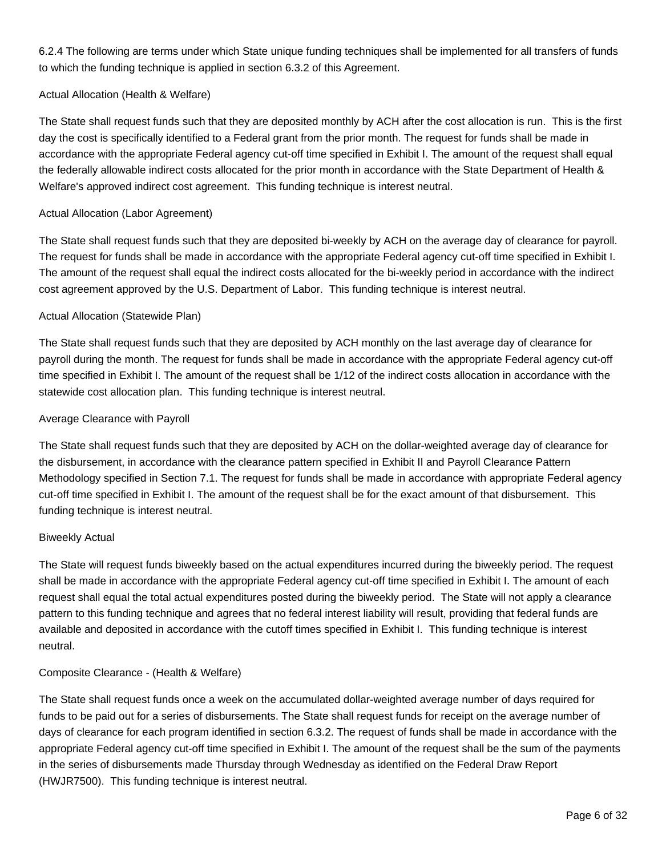6.2.4 The following are terms under which State unique funding techniques shall be implemented for all transfers of funds to which the funding technique is applied in section 6.3.2 of this Agreement.

# Actual Allocation (Health & Welfare)

The State shall request funds such that they are deposited monthly by ACH after the cost allocation is run. This is the first day the cost is specifically identified to a Federal grant from the prior month. The request for funds shall be made in accordance with the appropriate Federal agency cut-off time specified in Exhibit I. The amount of the request shall equal the federally allowable indirect costs allocated for the prior month in accordance with the State Department of Health & Welfare's approved indirect cost agreement. This funding technique is interest neutral.

# Actual Allocation (Labor Agreement)

The State shall request funds such that they are deposited bi-weekly by ACH on the average day of clearance for payroll. The request for funds shall be made in accordance with the appropriate Federal agency cut-off time specified in Exhibit I. The amount of the request shall equal the indirect costs allocated for the bi-weekly period in accordance with the indirect cost agreement approved by the U.S. Department of Labor. This funding technique is interest neutral.

# Actual Allocation (Statewide Plan)

The State shall request funds such that they are deposited by ACH monthly on the last average day of clearance for payroll during the month. The request for funds shall be made in accordance with the appropriate Federal agency cut-off time specified in Exhibit I. The amount of the request shall be 1/12 of the indirect costs allocation in accordance with the statewide cost allocation plan. This funding technique is interest neutral.

# Average Clearance with Payroll

The State shall request funds such that they are deposited by ACH on the dollar-weighted average day of clearance for the disbursement, in accordance with the clearance pattern specified in Exhibit II and Payroll Clearance Pattern Methodology specified in Section 7.1. The request for funds shall be made in accordance with appropriate Federal agency cut-off time specified in Exhibit I. The amount of the request shall be for the exact amount of that disbursement. This funding technique is interest neutral.

# Biweekly Actual

The State will request funds biweekly based on the actual expenditures incurred during the biweekly period. The request shall be made in accordance with the appropriate Federal agency cut-off time specified in Exhibit I. The amount of each request shall equal the total actual expenditures posted during the biweekly period. The State will not apply a clearance pattern to this funding technique and agrees that no federal interest liability will result, providing that federal funds are available and deposited in accordance with the cutoff times specified in Exhibit I. This funding technique is interest neutral.

# Composite Clearance - (Health & Welfare)

The State shall request funds once a week on the accumulated dollar-weighted average number of days required for funds to be paid out for a series of disbursements. The State shall request funds for receipt on the average number of days of clearance for each program identified in section 6.3.2. The request of funds shall be made in accordance with the appropriate Federal agency cut-off time specified in Exhibit I. The amount of the request shall be the sum of the payments in the series of disbursements made Thursday through Wednesday as identified on the Federal Draw Report (HWJR7500). This funding technique is interest neutral.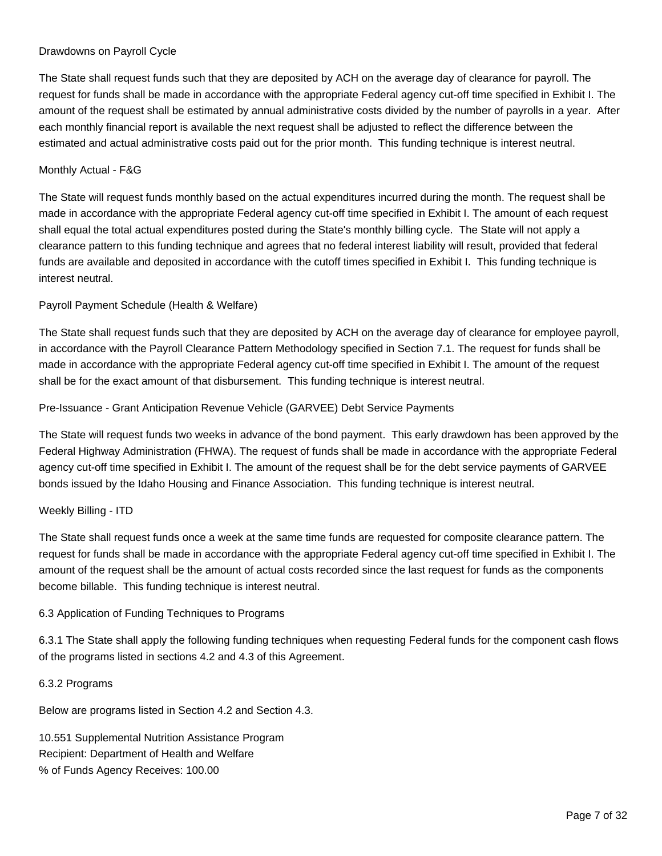# Drawdowns on Payroll Cycle

The State shall request funds such that they are deposited by ACH on the average day of clearance for payroll. The request for funds shall be made in accordance with the appropriate Federal agency cut-off time specified in Exhibit I. The amount of the request shall be estimated by annual administrative costs divided by the number of payrolls in a year. After each monthly financial report is available the next request shall be adjusted to reflect the difference between the estimated and actual administrative costs paid out for the prior month. This funding technique is interest neutral.

# Monthly Actual - F&G

The State will request funds monthly based on the actual expenditures incurred during the month. The request shall be made in accordance with the appropriate Federal agency cut-off time specified in Exhibit I. The amount of each request shall equal the total actual expenditures posted during the State's monthly billing cycle. The State will not apply a clearance pattern to this funding technique and agrees that no federal interest liability will result, provided that federal funds are available and deposited in accordance with the cutoff times specified in Exhibit I. This funding technique is interest neutral.

# Payroll Payment Schedule (Health & Welfare)

The State shall request funds such that they are deposited by ACH on the average day of clearance for employee payroll, in accordance with the Payroll Clearance Pattern Methodology specified in Section 7.1. The request for funds shall be made in accordance with the appropriate Federal agency cut-off time specified in Exhibit I. The amount of the request shall be for the exact amount of that disbursement. This funding technique is interest neutral.

Pre-Issuance - Grant Anticipation Revenue Vehicle (GARVEE) Debt Service Payments

The State will request funds two weeks in advance of the bond payment. This early drawdown has been approved by the Federal Highway Administration (FHWA). The request of funds shall be made in accordance with the appropriate Federal agency cut-off time specified in Exhibit I. The amount of the request shall be for the debt service payments of GARVEE bonds issued by the Idaho Housing and Finance Association. This funding technique is interest neutral.

# Weekly Billing - ITD

The State shall request funds once a week at the same time funds are requested for composite clearance pattern. The request for funds shall be made in accordance with the appropriate Federal agency cut-off time specified in Exhibit I. The amount of the request shall be the amount of actual costs recorded since the last request for funds as the components become billable. This funding technique is interest neutral.

# 6.3 Application of Funding Techniques to Programs

6.3.1 The State shall apply the following funding techniques when requesting Federal funds for the component cash flows of the programs listed in sections 4.2 and 4.3 of this Agreement.

# 6.3.2 Programs

Below are programs listed in Section 4.2 and Section 4.3.

10.551 Supplemental Nutrition Assistance Program Recipient: Department of Health and Welfare % of Funds Agency Receives: 100.00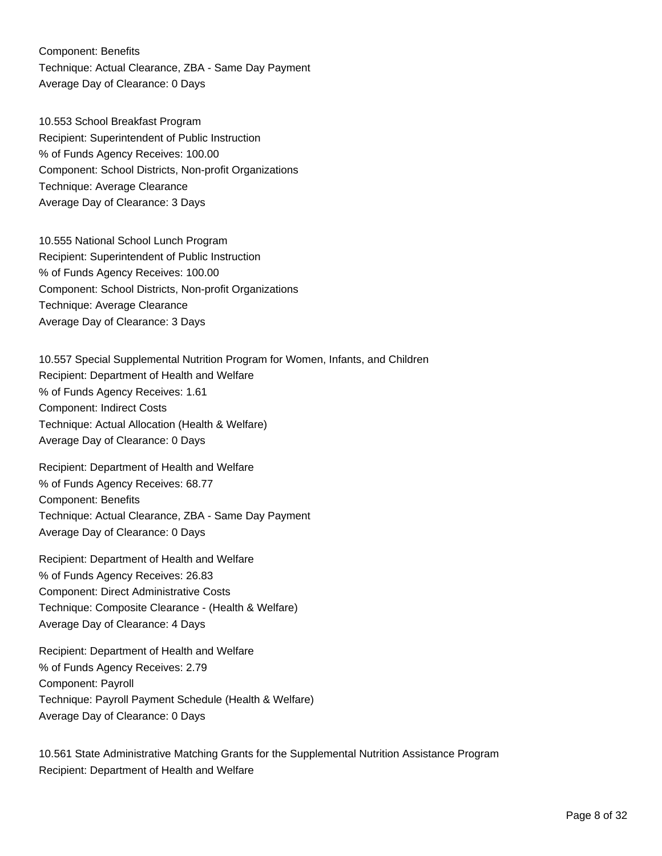Component: Benefits Technique: Actual Clearance, ZBA - Same Day Payment Average Day of Clearance: 0 Days

10.553 School Breakfast Program Recipient: Superintendent of Public Instruction % of Funds Agency Receives: 100.00 Component: School Districts, Non-profit Organizations Technique: Average Clearance Average Day of Clearance: 3 Days

10.555 National School Lunch Program Recipient: Superintendent of Public Instruction % of Funds Agency Receives: 100.00 Component: School Districts, Non-profit Organizations Technique: Average Clearance Average Day of Clearance: 3 Days

10.557 Special Supplemental Nutrition Program for Women, Infants, and Children Recipient: Department of Health and Welfare % of Funds Agency Receives: 1.61 Component: Indirect Costs Technique: Actual Allocation (Health & Welfare) Average Day of Clearance: 0 Days

Recipient: Department of Health and Welfare % of Funds Agency Receives: 68.77 Component: Benefits Technique: Actual Clearance, ZBA - Same Day Payment Average Day of Clearance: 0 Days

Recipient: Department of Health and Welfare % of Funds Agency Receives: 26.83 Component: Direct Administrative Costs Technique: Composite Clearance - (Health & Welfare) Average Day of Clearance: 4 Days

Recipient: Department of Health and Welfare % of Funds Agency Receives: 2.79 Component: Payroll Technique: Payroll Payment Schedule (Health & Welfare) Average Day of Clearance: 0 Days

10.561 State Administrative Matching Grants for the Supplemental Nutrition Assistance Program Recipient: Department of Health and Welfare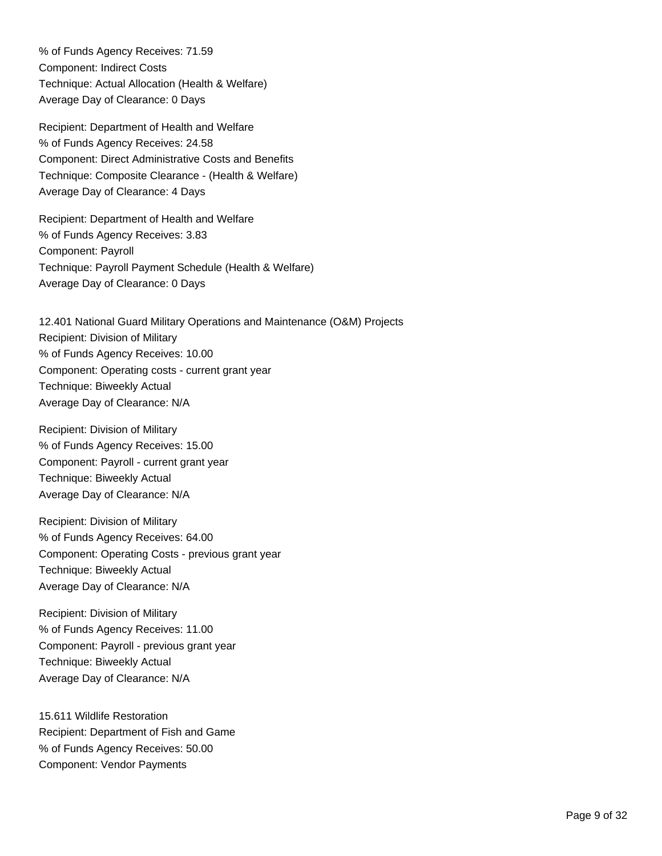% of Funds Agency Receives: 71.59 Component: Indirect Costs Technique: Actual Allocation (Health & Welfare) Average Day of Clearance: 0 Days

Recipient: Department of Health and Welfare % of Funds Agency Receives: 24.58 Component: Direct Administrative Costs and Benefits Technique: Composite Clearance - (Health & Welfare) Average Day of Clearance: 4 Days

Recipient: Department of Health and Welfare % of Funds Agency Receives: 3.83 Component: Payroll Technique: Payroll Payment Schedule (Health & Welfare) Average Day of Clearance: 0 Days

12.401 National Guard Military Operations and Maintenance (O&M) Projects Recipient: Division of Military % of Funds Agency Receives: 10.00 Component: Operating costs - current grant year Technique: Biweekly Actual Average Day of Clearance: N/A

Recipient: Division of Military % of Funds Agency Receives: 15.00 Component: Payroll - current grant year Technique: Biweekly Actual Average Day of Clearance: N/A

Recipient: Division of Military % of Funds Agency Receives: 64.00 Component: Operating Costs - previous grant year Technique: Biweekly Actual Average Day of Clearance: N/A

Recipient: Division of Military % of Funds Agency Receives: 11.00 Component: Payroll - previous grant year Technique: Biweekly Actual Average Day of Clearance: N/A

15.611 Wildlife Restoration Recipient: Department of Fish and Game % of Funds Agency Receives: 50.00 Component: Vendor Payments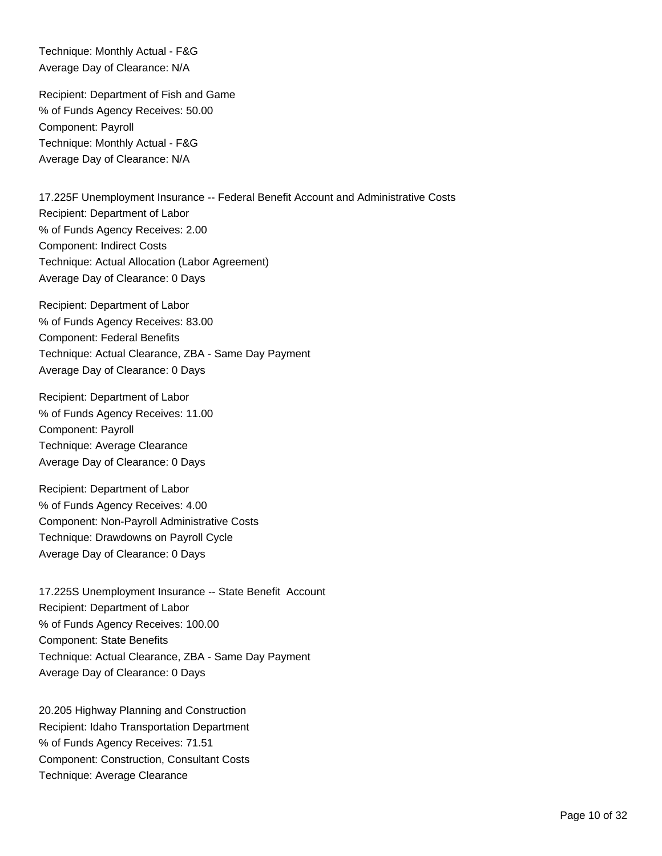Technique: Monthly Actual - F&G Average Day of Clearance: N/A

Recipient: Department of Fish and Game % of Funds Agency Receives: 50.00 Component: Payroll Technique: Monthly Actual - F&G Average Day of Clearance: N/A

17.225F Unemployment Insurance -- Federal Benefit Account and Administrative Costs Recipient: Department of Labor % of Funds Agency Receives: 2.00 Component: Indirect Costs Technique: Actual Allocation (Labor Agreement) Average Day of Clearance: 0 Days

Recipient: Department of Labor % of Funds Agency Receives: 83.00 Component: Federal Benefits Technique: Actual Clearance, ZBA - Same Day Payment Average Day of Clearance: 0 Days

Recipient: Department of Labor % of Funds Agency Receives: 11.00 Component: Payroll Technique: Average Clearance Average Day of Clearance: 0 Days

Recipient: Department of Labor % of Funds Agency Receives: 4.00 Component: Non-Payroll Administrative Costs Technique: Drawdowns on Payroll Cycle Average Day of Clearance: 0 Days

17.225S Unemployment Insurance -- State Benefit Account Recipient: Department of Labor % of Funds Agency Receives: 100.00 Component: State Benefits Technique: Actual Clearance, ZBA - Same Day Payment Average Day of Clearance: 0 Days

20.205 Highway Planning and Construction Recipient: Idaho Transportation Department % of Funds Agency Receives: 71.51 Component: Construction, Consultant Costs Technique: Average Clearance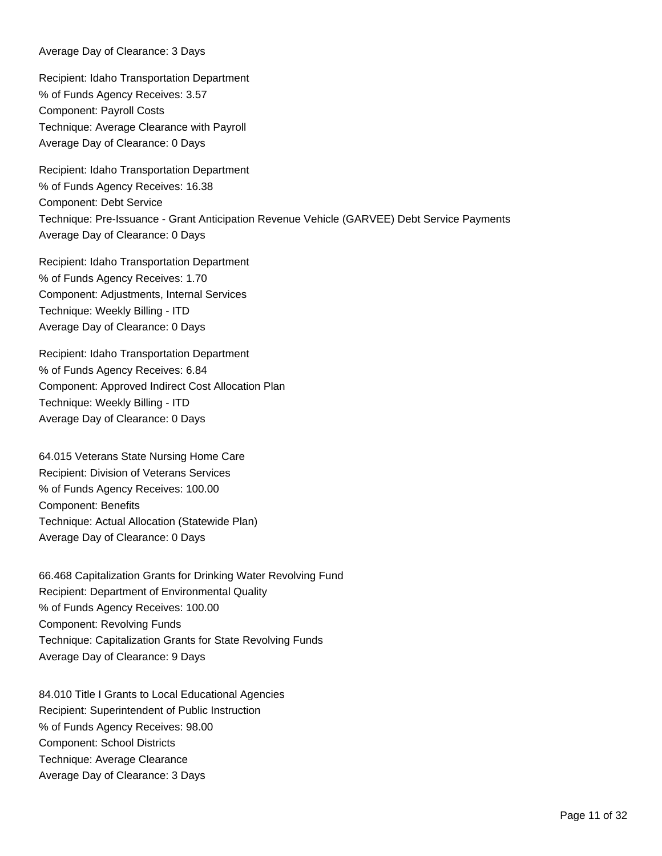Average Day of Clearance: 3 Days

Recipient: Idaho Transportation Department % of Funds Agency Receives: 3.57 Component: Payroll Costs Technique: Average Clearance with Payroll Average Day of Clearance: 0 Days

Recipient: Idaho Transportation Department % of Funds Agency Receives: 16.38 Component: Debt Service Technique: Pre-Issuance - Grant Anticipation Revenue Vehicle (GARVEE) Debt Service Payments Average Day of Clearance: 0 Days

Recipient: Idaho Transportation Department % of Funds Agency Receives: 1.70 Component: Adjustments, Internal Services Technique: Weekly Billing - ITD Average Day of Clearance: 0 Days

Recipient: Idaho Transportation Department % of Funds Agency Receives: 6.84 Component: Approved Indirect Cost Allocation Plan Technique: Weekly Billing - ITD Average Day of Clearance: 0 Days

64.015 Veterans State Nursing Home Care Recipient: Division of Veterans Services % of Funds Agency Receives: 100.00 Component: Benefits Technique: Actual Allocation (Statewide Plan) Average Day of Clearance: 0 Days

66.468 Capitalization Grants for Drinking Water Revolving Fund Recipient: Department of Environmental Quality % of Funds Agency Receives: 100.00 Component: Revolving Funds Technique: Capitalization Grants for State Revolving Funds Average Day of Clearance: 9 Days

84.010 Title I Grants to Local Educational Agencies Recipient: Superintendent of Public Instruction % of Funds Agency Receives: 98.00 Component: School Districts Technique: Average Clearance Average Day of Clearance: 3 Days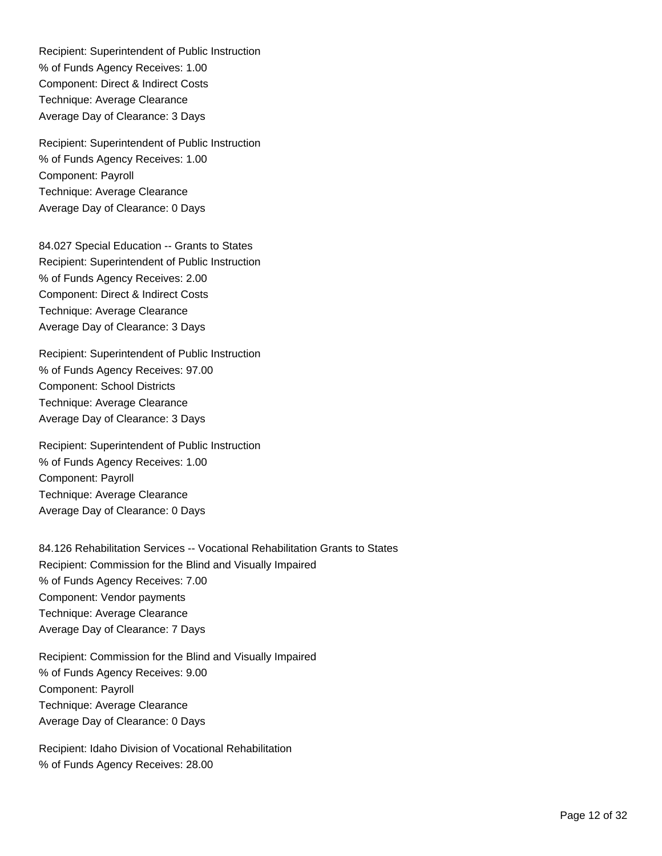Recipient: Superintendent of Public Instruction % of Funds Agency Receives: 1.00 Component: Direct & Indirect Costs Technique: Average Clearance Average Day of Clearance: 3 Days

Recipient: Superintendent of Public Instruction % of Funds Agency Receives: 1.00 Component: Payroll Technique: Average Clearance Average Day of Clearance: 0 Days

84.027 Special Education -- Grants to States Recipient: Superintendent of Public Instruction % of Funds Agency Receives: 2.00 Component: Direct & Indirect Costs Technique: Average Clearance Average Day of Clearance: 3 Days

Recipient: Superintendent of Public Instruction % of Funds Agency Receives: 97.00 Component: School Districts Technique: Average Clearance Average Day of Clearance: 3 Days

Recipient: Superintendent of Public Instruction % of Funds Agency Receives: 1.00 Component: Payroll Technique: Average Clearance Average Day of Clearance: 0 Days

84.126 Rehabilitation Services -- Vocational Rehabilitation Grants to States Recipient: Commission for the Blind and Visually Impaired % of Funds Agency Receives: 7.00 Component: Vendor payments Technique: Average Clearance Average Day of Clearance: 7 Days

Recipient: Commission for the Blind and Visually Impaired % of Funds Agency Receives: 9.00 Component: Payroll Technique: Average Clearance Average Day of Clearance: 0 Days

Recipient: Idaho Division of Vocational Rehabilitation % of Funds Agency Receives: 28.00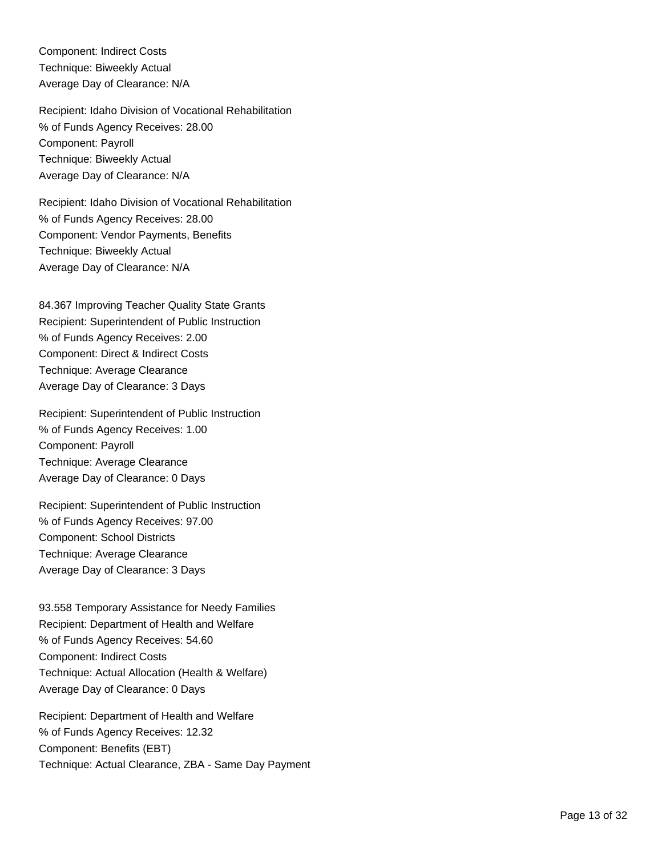Component: Indirect Costs Technique: Biweekly Actual Average Day of Clearance: N/A

Recipient: Idaho Division of Vocational Rehabilitation % of Funds Agency Receives: 28.00 Component: Payroll Technique: Biweekly Actual Average Day of Clearance: N/A

Recipient: Idaho Division of Vocational Rehabilitation % of Funds Agency Receives: 28.00 Component: Vendor Payments, Benefits Technique: Biweekly Actual Average Day of Clearance: N/A

84.367 Improving Teacher Quality State Grants Recipient: Superintendent of Public Instruction % of Funds Agency Receives: 2.00 Component: Direct & Indirect Costs Technique: Average Clearance Average Day of Clearance: 3 Days

Recipient: Superintendent of Public Instruction % of Funds Agency Receives: 1.00 Component: Payroll Technique: Average Clearance Average Day of Clearance: 0 Days

Recipient: Superintendent of Public Instruction % of Funds Agency Receives: 97.00 Component: School Districts Technique: Average Clearance Average Day of Clearance: 3 Days

93.558 Temporary Assistance for Needy Families Recipient: Department of Health and Welfare % of Funds Agency Receives: 54.60 Component: Indirect Costs Technique: Actual Allocation (Health & Welfare) Average Day of Clearance: 0 Days

Recipient: Department of Health and Welfare % of Funds Agency Receives: 12.32 Component: Benefits (EBT) Technique: Actual Clearance, ZBA - Same Day Payment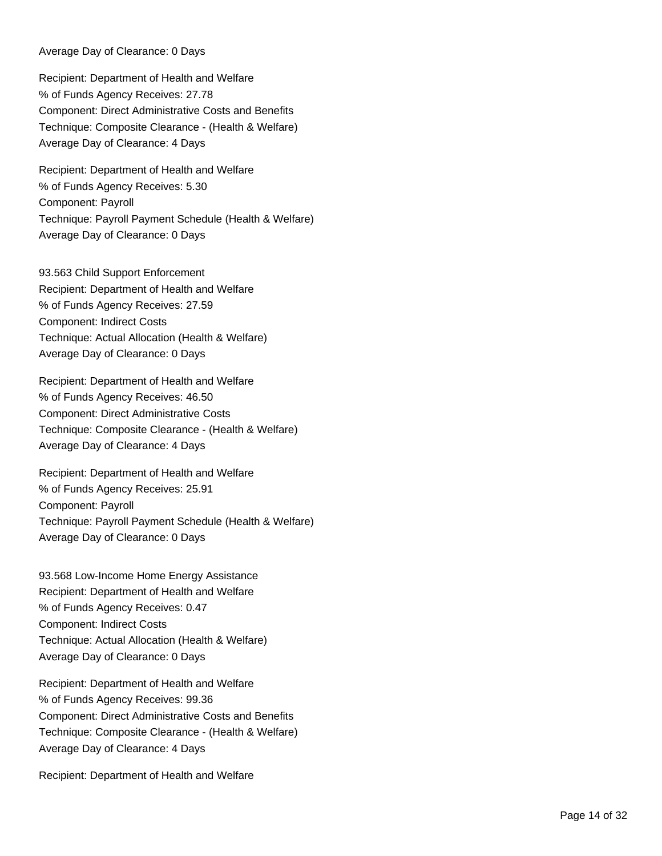Average Day of Clearance: 0 Days

Recipient: Department of Health and Welfare % of Funds Agency Receives: 27.78 Component: Direct Administrative Costs and Benefits Technique: Composite Clearance - (Health & Welfare) Average Day of Clearance: 4 Days

Recipient: Department of Health and Welfare % of Funds Agency Receives: 5.30 Component: Payroll Technique: Payroll Payment Schedule (Health & Welfare) Average Day of Clearance: 0 Days

93.563 Child Support Enforcement Recipient: Department of Health and Welfare % of Funds Agency Receives: 27.59 Component: Indirect Costs Technique: Actual Allocation (Health & Welfare) Average Day of Clearance: 0 Days

Recipient: Department of Health and Welfare % of Funds Agency Receives: 46.50 Component: Direct Administrative Costs Technique: Composite Clearance - (Health & Welfare) Average Day of Clearance: 4 Days

Recipient: Department of Health and Welfare % of Funds Agency Receives: 25.91 Component: Payroll Technique: Payroll Payment Schedule (Health & Welfare) Average Day of Clearance: 0 Days

93.568 Low-Income Home Energy Assistance Recipient: Department of Health and Welfare % of Funds Agency Receives: 0.47 Component: Indirect Costs Technique: Actual Allocation (Health & Welfare) Average Day of Clearance: 0 Days

Recipient: Department of Health and Welfare % of Funds Agency Receives: 99.36 Component: Direct Administrative Costs and Benefits Technique: Composite Clearance - (Health & Welfare) Average Day of Clearance: 4 Days

Recipient: Department of Health and Welfare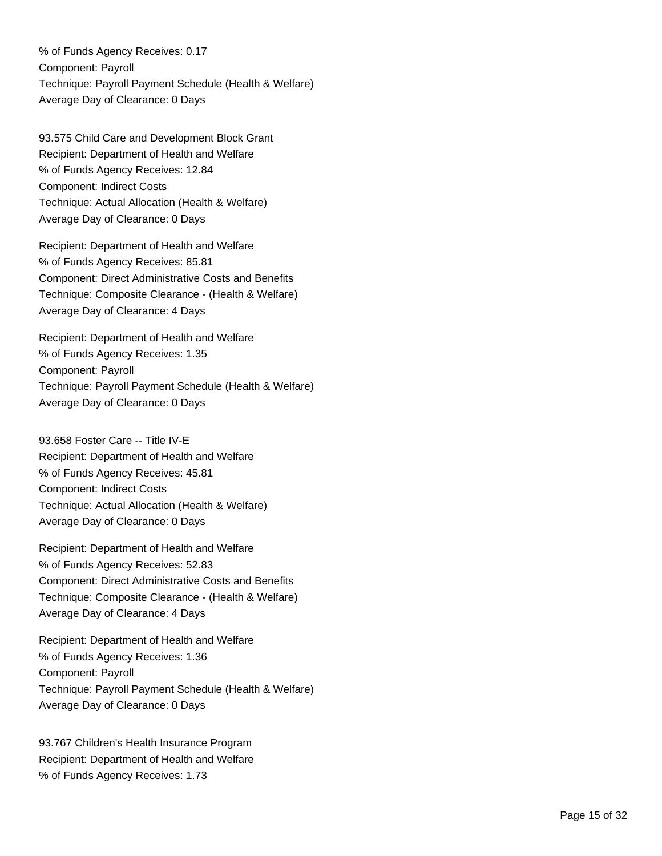% of Funds Agency Receives: 0.17 Component: Payroll Technique: Payroll Payment Schedule (Health & Welfare) Average Day of Clearance: 0 Days

93.575 Child Care and Development Block Grant Recipient: Department of Health and Welfare % of Funds Agency Receives: 12.84 Component: Indirect Costs Technique: Actual Allocation (Health & Welfare) Average Day of Clearance: 0 Days

Recipient: Department of Health and Welfare % of Funds Agency Receives: 85.81 Component: Direct Administrative Costs and Benefits Technique: Composite Clearance - (Health & Welfare) Average Day of Clearance: 4 Days

Recipient: Department of Health and Welfare % of Funds Agency Receives: 1.35 Component: Payroll Technique: Payroll Payment Schedule (Health & Welfare) Average Day of Clearance: 0 Days

93.658 Foster Care -- Title IV-E Recipient: Department of Health and Welfare % of Funds Agency Receives: 45.81 Component: Indirect Costs Technique: Actual Allocation (Health & Welfare) Average Day of Clearance: 0 Days

Recipient: Department of Health and Welfare % of Funds Agency Receives: 52.83 Component: Direct Administrative Costs and Benefits Technique: Composite Clearance - (Health & Welfare) Average Day of Clearance: 4 Days

Recipient: Department of Health and Welfare % of Funds Agency Receives: 1.36 Component: Payroll Technique: Payroll Payment Schedule (Health & Welfare) Average Day of Clearance: 0 Days

93.767 Children's Health Insurance Program Recipient: Department of Health and Welfare % of Funds Agency Receives: 1.73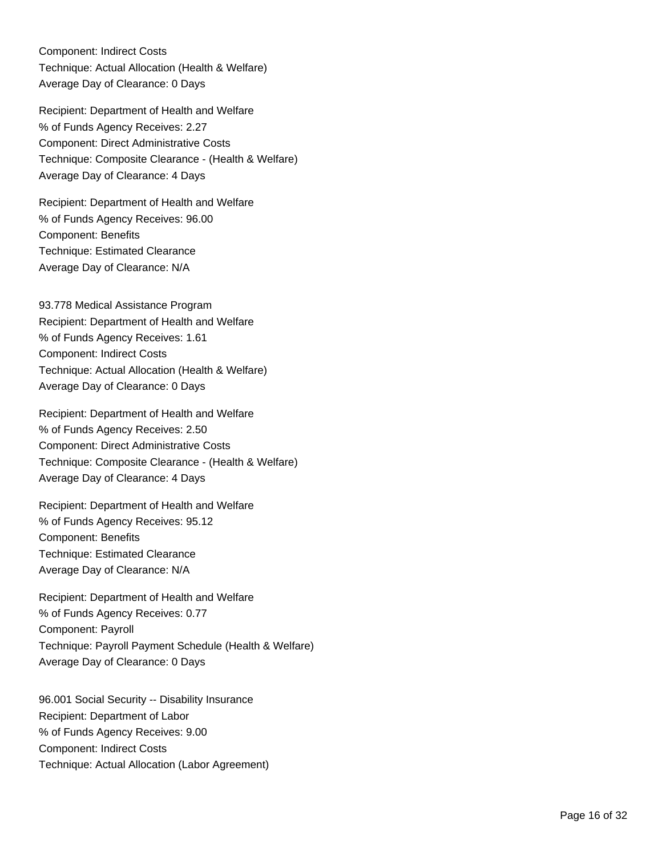Component: Indirect Costs Technique: Actual Allocation (Health & Welfare) Average Day of Clearance: 0 Days

Recipient: Department of Health and Welfare % of Funds Agency Receives: 2.27 Component: Direct Administrative Costs Technique: Composite Clearance - (Health & Welfare) Average Day of Clearance: 4 Days

Recipient: Department of Health and Welfare % of Funds Agency Receives: 96.00 Component: Benefits Technique: Estimated Clearance Average Day of Clearance: N/A

93.778 Medical Assistance Program Recipient: Department of Health and Welfare % of Funds Agency Receives: 1.61 Component: Indirect Costs Technique: Actual Allocation (Health & Welfare) Average Day of Clearance: 0 Days

Recipient: Department of Health and Welfare % of Funds Agency Receives: 2.50 Component: Direct Administrative Costs Technique: Composite Clearance - (Health & Welfare) Average Day of Clearance: 4 Days

Recipient: Department of Health and Welfare % of Funds Agency Receives: 95.12 Component: Benefits Technique: Estimated Clearance Average Day of Clearance: N/A

Recipient: Department of Health and Welfare % of Funds Agency Receives: 0.77 Component: Payroll Technique: Payroll Payment Schedule (Health & Welfare) Average Day of Clearance: 0 Days

96.001 Social Security -- Disability Insurance Recipient: Department of Labor % of Funds Agency Receives: 9.00 Component: Indirect Costs Technique: Actual Allocation (Labor Agreement)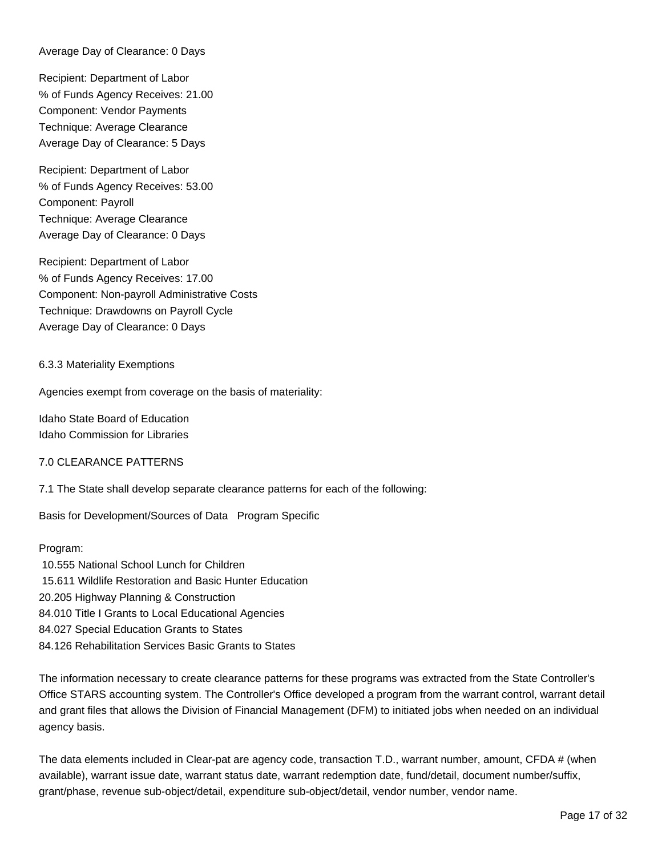Average Day of Clearance: 0 Days

Recipient: Department of Labor % of Funds Agency Receives: 21.00 Component: Vendor Payments Technique: Average Clearance Average Day of Clearance: 5 Days

Recipient: Department of Labor % of Funds Agency Receives: 53.00 Component: Payroll Technique: Average Clearance Average Day of Clearance: 0 Days

Recipient: Department of Labor % of Funds Agency Receives: 17.00 Component: Non-payroll Administrative Costs Technique: Drawdowns on Payroll Cycle Average Day of Clearance: 0 Days

#### 6.3.3 Materiality Exemptions

Agencies exempt from coverage on the basis of materiality:

Idaho State Board of Education Idaho Commission for Libraries

#### 7.0 CLEARANCE PATTERNS

7.1 The State shall develop separate clearance patterns for each of the following:

Basis for Development/Sources of Data Program Specific

#### Program:

 10.555 National School Lunch for Children 15.611 Wildlife Restoration and Basic Hunter Education 20.205 Highway Planning & Construction 84.010 Title I Grants to Local Educational Agencies 84.027 Special Education Grants to States 84.126 Rehabilitation Services Basic Grants to States

The information necessary to create clearance patterns for these programs was extracted from the State Controller's Office STARS accounting system. The Controller's Office developed a program from the warrant control, warrant detail and grant files that allows the Division of Financial Management (DFM) to initiated jobs when needed on an individual agency basis.

The data elements included in Clear-pat are agency code, transaction T.D., warrant number, amount, CFDA # (when available), warrant issue date, warrant status date, warrant redemption date, fund/detail, document number/suffix, grant/phase, revenue sub-object/detail, expenditure sub-object/detail, vendor number, vendor name.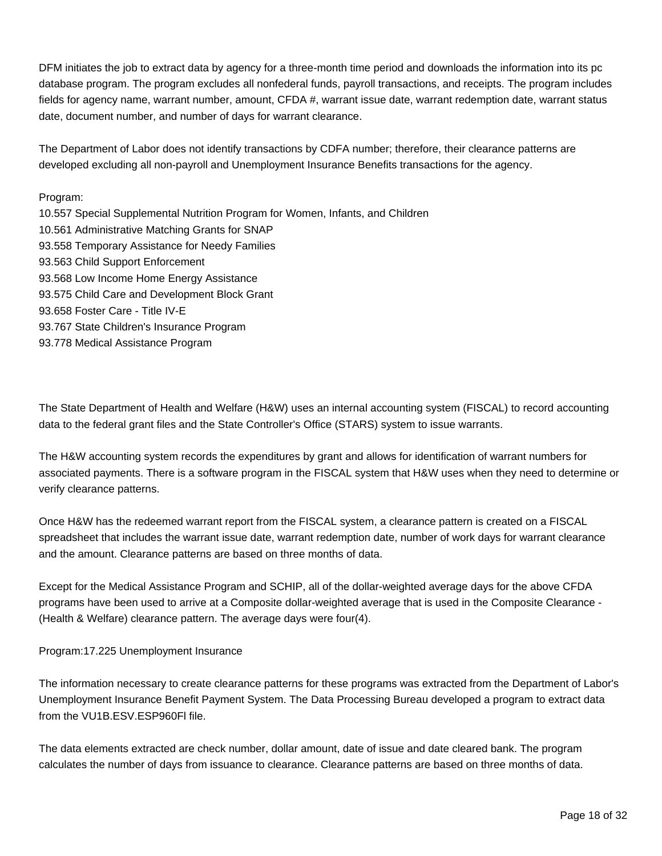DFM initiates the job to extract data by agency for a three-month time period and downloads the information into its pc database program. The program excludes all nonfederal funds, payroll transactions, and receipts. The program includes fields for agency name, warrant number, amount, CFDA #, warrant issue date, warrant redemption date, warrant status date, document number, and number of days for warrant clearance.

The Department of Labor does not identify transactions by CDFA number; therefore, their clearance patterns are developed excluding all non-payroll and Unemployment Insurance Benefits transactions for the agency.

## Program:

10.557 Special Supplemental Nutrition Program for Women, Infants, and Children 10.561 Administrative Matching Grants for SNAP 93.558 Temporary Assistance for Needy Families 93.563 Child Support Enforcement 93.568 Low Income Home Energy Assistance 93.575 Child Care and Development Block Grant 93.658 Foster Care - Title IV-E 93.767 State Children's Insurance Program 93.778 Medical Assistance Program

The State Department of Health and Welfare (H&W) uses an internal accounting system (FISCAL) to record accounting data to the federal grant files and the State Controller's Office (STARS) system to issue warrants.

The H&W accounting system records the expenditures by grant and allows for identification of warrant numbers for associated payments. There is a software program in the FISCAL system that H&W uses when they need to determine or verify clearance patterns.

Once H&W has the redeemed warrant report from the FISCAL system, a clearance pattern is created on a FISCAL spreadsheet that includes the warrant issue date, warrant redemption date, number of work days for warrant clearance and the amount. Clearance patterns are based on three months of data.

Except for the Medical Assistance Program and SCHIP, all of the dollar-weighted average days for the above CFDA programs have been used to arrive at a Composite dollar-weighted average that is used in the Composite Clearance - (Health & Welfare) clearance pattern. The average days were four(4).

#### Program: 17.225 Unemployment Insurance

The information necessary to create clearance patterns for these programs was extracted from the Department of Labor's Unemployment Insurance Benefit Payment System. The Data Processing Bureau developed a program to extract data from the VU1B.ESV.ESP960Fl file.

The data elements extracted are check number, dollar amount, date of issue and date cleared bank. The program calculates the number of days from issuance to clearance. Clearance patterns are based on three months of data.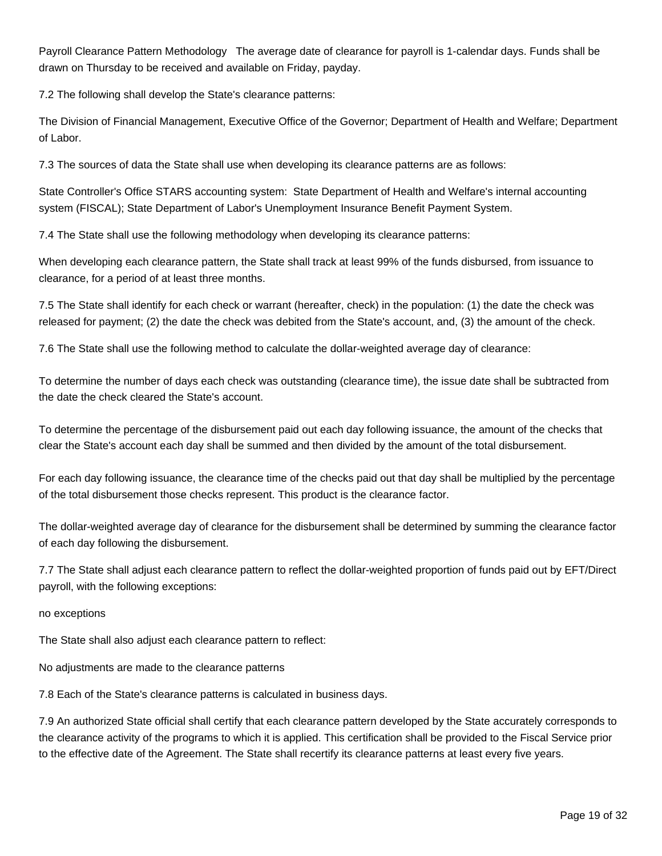Payroll Clearance Pattern Methodology The average date of clearance for payroll is 1-calendar days. Funds shall be drawn on Thursday to be received and available on Friday, payday.

7.2 The following shall develop the State's clearance patterns:

The Division of Financial Management, Executive Office of the Governor; Department of Health and Welfare; Department of Labor.

7.3 The sources of data the State shall use when developing its clearance patterns are as follows:

State Controller's Office STARS accounting system: State Department of Health and Welfare's internal accounting system (FISCAL); State Department of Labor's Unemployment Insurance Benefit Payment System.

7.4 The State shall use the following methodology when developing its clearance patterns:

When developing each clearance pattern, the State shall track at least 99% of the funds disbursed, from issuance to clearance, for a period of at least three months.

7.5 The State shall identify for each check or warrant (hereafter, check) in the population: (1) the date the check was released for payment; (2) the date the check was debited from the State's account, and, (3) the amount of the check.

7.6 The State shall use the following method to calculate the dollar-weighted average day of clearance:

To determine the number of days each check was outstanding (clearance time), the issue date shall be subtracted from the date the check cleared the State's account.

To determine the percentage of the disbursement paid out each day following issuance, the amount of the checks that clear the State's account each day shall be summed and then divided by the amount of the total disbursement.

For each day following issuance, the clearance time of the checks paid out that day shall be multiplied by the percentage of the total disbursement those checks represent. This product is the clearance factor.

The dollar-weighted average day of clearance for the disbursement shall be determined by summing the clearance factor of each day following the disbursement.

7.7 The State shall adjust each clearance pattern to reflect the dollar-weighted proportion of funds paid out by EFT/Direct payroll, with the following exceptions:

#### no exceptions

The State shall also adjust each clearance pattern to reflect:

No adjustments are made to the clearance patterns

7.8 Each of the State's clearance patterns is calculated in business days.

7.9 An authorized State official shall certify that each clearance pattern developed by the State accurately corresponds to the clearance activity of the programs to which it is applied. This certification shall be provided to the Fiscal Service prior to the effective date of the Agreement. The State shall recertify its clearance patterns at least every five years.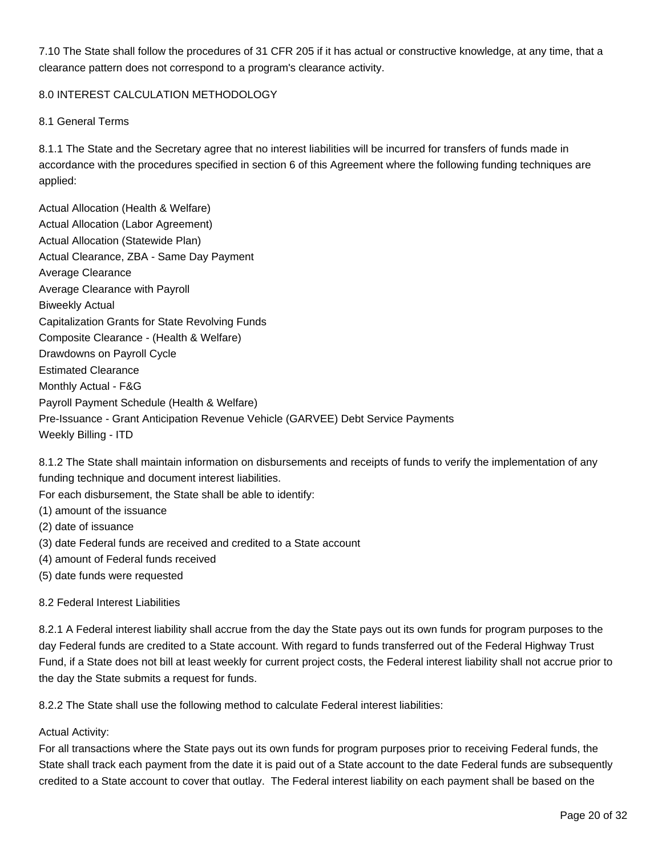7.10 The State shall follow the procedures of 31 CFR 205 if it has actual or constructive knowledge, at any time, that a clearance pattern does not correspond to a program's clearance activity.

# 8.0 INTEREST CALCULATION METHODOLOGY

# 8.1 General Terms

8.1.1 The State and the Secretary agree that no interest liabilities will be incurred for transfers of funds made in accordance with the procedures specified in section 6 of this Agreement where the following funding techniques are applied:

Actual Allocation (Health & Welfare) Actual Allocation (Labor Agreement) Actual Allocation (Statewide Plan) Actual Clearance, ZBA - Same Day Payment Average Clearance Average Clearance with Payroll Biweekly Actual Capitalization Grants for State Revolving Funds Composite Clearance - (Health & Welfare) Drawdowns on Payroll Cycle Estimated Clearance Monthly Actual - F&G Payroll Payment Schedule (Health & Welfare) Pre-Issuance - Grant Anticipation Revenue Vehicle (GARVEE) Debt Service Payments Weekly Billing - ITD

8.1.2 The State shall maintain information on disbursements and receipts of funds to verify the implementation of any funding technique and document interest liabilities.

For each disbursement, the State shall be able to identify:

- (1) amount of the issuance
- (2) date of issuance
- (3) date Federal funds are received and credited to a State account
- (4) amount of Federal funds received
- (5) date funds were requested

#### 8.2 Federal Interest Liabilities

8.2.1 A Federal interest liability shall accrue from the day the State pays out its own funds for program purposes to the day Federal funds are credited to a State account. With regard to funds transferred out of the Federal Highway Trust Fund, if a State does not bill at least weekly for current project costs, the Federal interest liability shall not accrue prior to the day the State submits a request for funds.

8.2.2 The State shall use the following method to calculate Federal interest liabilities:

# Actual Activity:

For all transactions where the State pays out its own funds for program purposes prior to receiving Federal funds, the State shall track each payment from the date it is paid out of a State account to the date Federal funds are subsequently credited to a State account to cover that outlay. The Federal interest liability on each payment shall be based on the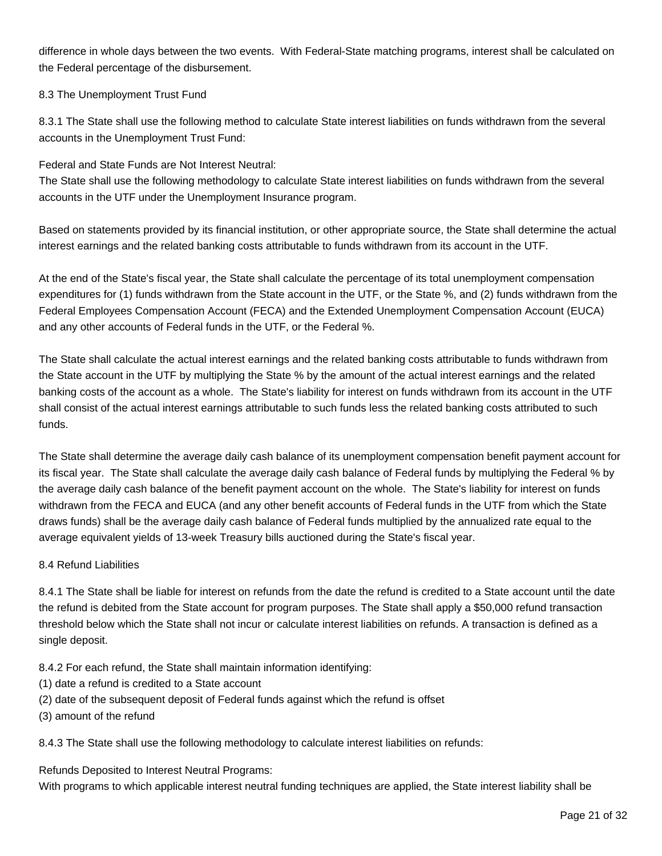difference in whole days between the two events. With Federal-State matching programs, interest shall be calculated on the Federal percentage of the disbursement.

# 8.3 The Unemployment Trust Fund

8.3.1 The State shall use the following method to calculate State interest liabilities on funds withdrawn from the several accounts in the Unemployment Trust Fund:

Federal and State Funds are Not Interest Neutral:

The State shall use the following methodology to calculate State interest liabilities on funds withdrawn from the several accounts in the UTF under the Unemployment Insurance program.

Based on statements provided by its financial institution, or other appropriate source, the State shall determine the actual interest earnings and the related banking costs attributable to funds withdrawn from its account in the UTF.

At the end of the State's fiscal year, the State shall calculate the percentage of its total unemployment compensation expenditures for (1) funds withdrawn from the State account in the UTF, or the State %, and (2) funds withdrawn from the Federal Employees Compensation Account (FECA) and the Extended Unemployment Compensation Account (EUCA) and any other accounts of Federal funds in the UTF, or the Federal %.

The State shall calculate the actual interest earnings and the related banking costs attributable to funds withdrawn from the State account in the UTF by multiplying the State % by the amount of the actual interest earnings and the related banking costs of the account as a whole. The State's liability for interest on funds withdrawn from its account in the UTF shall consist of the actual interest earnings attributable to such funds less the related banking costs attributed to such funds.

The State shall determine the average daily cash balance of its unemployment compensation benefit payment account for its fiscal year. The State shall calculate the average daily cash balance of Federal funds by multiplying the Federal % by the average daily cash balance of the benefit payment account on the whole. The State's liability for interest on funds withdrawn from the FECA and EUCA (and any other benefit accounts of Federal funds in the UTF from which the State draws funds) shall be the average daily cash balance of Federal funds multiplied by the annualized rate equal to the average equivalent yields of 13-week Treasury bills auctioned during the State's fiscal year.

# 8.4 Refund Liabilities

8.4.1 The State shall be liable for interest on refunds from the date the refund is credited to a State account until the date the refund is debited from the State account for program purposes. The State shall apply a \$50,000 refund transaction threshold below which the State shall not incur or calculate interest liabilities on refunds. A transaction is defined as a single deposit.

8.4.2 For each refund, the State shall maintain information identifying:

- (1) date a refund is credited to a State account
- (2) date of the subsequent deposit of Federal funds against which the refund is offset
- (3) amount of the refund

8.4.3 The State shall use the following methodology to calculate interest liabilities on refunds:

Refunds Deposited to Interest Neutral Programs:

With programs to which applicable interest neutral funding techniques are applied, the State interest liability shall be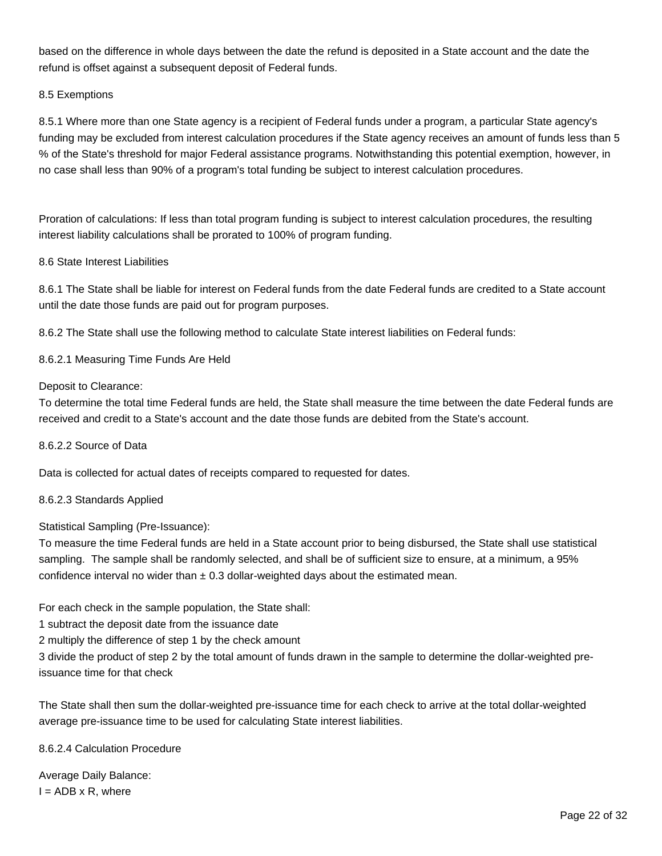based on the difference in whole days between the date the refund is deposited in a State account and the date the refund is offset against a subsequent deposit of Federal funds.

# 8.5 Exemptions

8.5.1 Where more than one State agency is a recipient of Federal funds under a program, a particular State agency's funding may be excluded from interest calculation procedures if the State agency receives an amount of funds less than 5 % of the State's threshold for major Federal assistance programs. Notwithstanding this potential exemption, however, in no case shall less than 90% of a program's total funding be subject to interest calculation procedures.

Proration of calculations: If less than total program funding is subject to interest calculation procedures, the resulting interest liability calculations shall be prorated to 100% of program funding.

# 8.6 State Interest Liabilities

8.6.1 The State shall be liable for interest on Federal funds from the date Federal funds are credited to a State account until the date those funds are paid out for program purposes.

8.6.2 The State shall use the following method to calculate State interest liabilities on Federal funds:

8.6.2.1 Measuring Time Funds Are Held

#### Deposit to Clearance:

To determine the total time Federal funds are held, the State shall measure the time between the date Federal funds are received and credit to a State's account and the date those funds are debited from the State's account.

#### 8.6.2.2 Source of Data

Data is collected for actual dates of receipts compared to requested for dates.

#### 8.6.2.3 Standards Applied

Statistical Sampling (Pre-Issuance):

To measure the time Federal funds are held in a State account prior to being disbursed, the State shall use statistical sampling. The sample shall be randomly selected, and shall be of sufficient size to ensure, at a minimum, a 95% confidence interval no wider than  $\pm$  0.3 dollar-weighted days about the estimated mean.

For each check in the sample population, the State shall:

1 subtract the deposit date from the issuance date

2 multiply the difference of step 1 by the check amount

3 divide the product of step 2 by the total amount of funds drawn in the sample to determine the dollar-weighted preissuance time for that check

The State shall then sum the dollar-weighted pre-issuance time for each check to arrive at the total dollar-weighted average pre-issuance time to be used for calculating State interest liabilities.

8.6.2.4 Calculation Procedure

Average Daily Balance:  $I = ADB \times R$ , where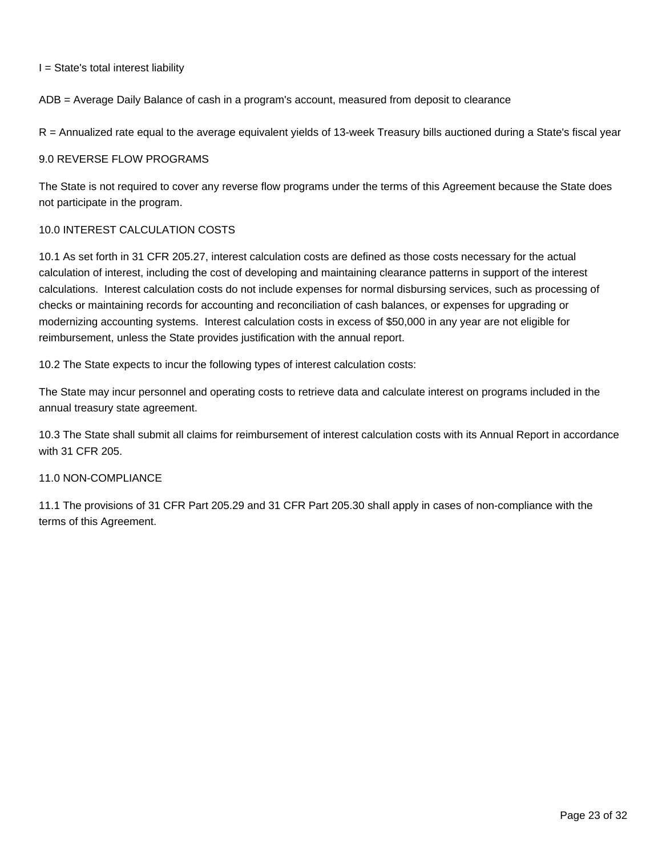$I = State's total interest liability$ 

ADB = Average Daily Balance of cash in a program's account, measured from deposit to clearance

R = Annualized rate equal to the average equivalent yields of 13-week Treasury bills auctioned during a State's fiscal year

#### 9.0 REVERSE FLOW PROGRAMS

The State is not required to cover any reverse flow programs under the terms of this Agreement because the State does not participate in the program.

# 10.0 INTEREST CALCULATION COSTS

10.1 As set forth in 31 CFR 205.27, interest calculation costs are defined as those costs necessary for the actual calculation of interest, including the cost of developing and maintaining clearance patterns in support of the interest calculations. Interest calculation costs do not include expenses for normal disbursing services, such as processing of checks or maintaining records for accounting and reconciliation of cash balances, or expenses for upgrading or modernizing accounting systems. Interest calculation costs in excess of \$50,000 in any year are not eligible for reimbursement, unless the State provides justification with the annual report.

10.2 The State expects to incur the following types of interest calculation costs:

The State may incur personnel and operating costs to retrieve data and calculate interest on programs included in the annual treasury state agreement.

10.3 The State shall submit all claims for reimbursement of interest calculation costs with its Annual Report in accordance with 31 CFR 205.

# 11.0 NON-COMPLIANCE

11.1 The provisions of 31 CFR Part 205.29 and 31 CFR Part 205.30 shall apply in cases of non-compliance with the terms of this Agreement.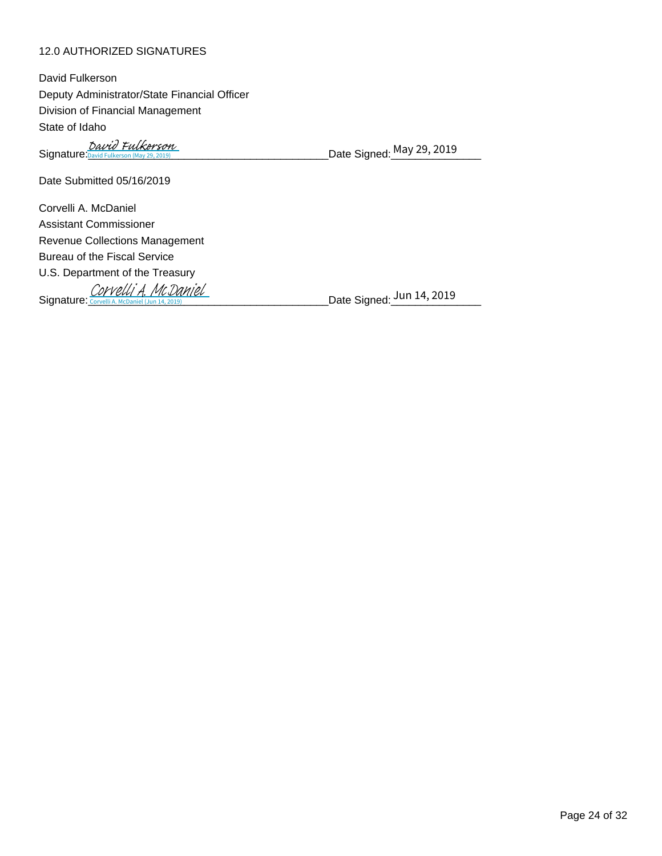# 12.0 AUTHORIZED SIGNATURES

Signature:<u>David Fulkerson (May 29, 2019</u>) David Fulkerson Date Signed: May 29, 2019

Date Submitted 05/16/2019

Corvelli A. McDaniel Assistant Commissioner Revenue Collections Management Bureau of the Fiscal Service U.S. Department of the Treasury Signature: Corvelli A. McDaniel (Jun 14, 2019)<br>Signature: Corvelli A. McDaniel (Jun 14, 2019)

Date Signed: Jun 14, 2019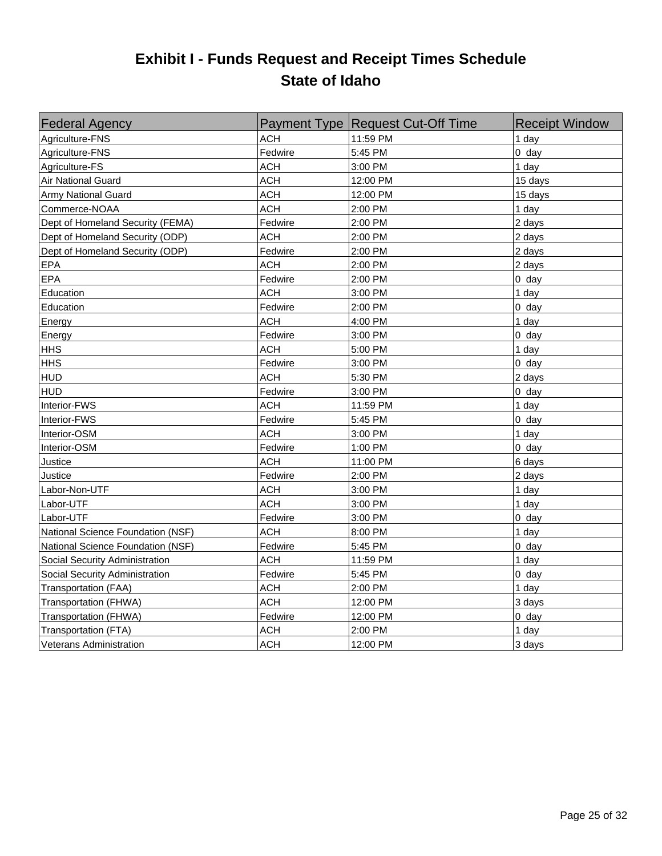# **Exhibit I - Funds Request and Receipt Times Schedule State of Idaho**

| <b>Federal Agency</b>             |            | Payment Type Request Cut-Off Time | <b>Receipt Window</b> |
|-----------------------------------|------------|-----------------------------------|-----------------------|
| Agriculture-FNS                   | <b>ACH</b> | 11:59 PM                          | 1 day                 |
| Agriculture-FNS                   | Fedwire    | 5:45 PM                           | $0$ day               |
| Agriculture-FS                    | <b>ACH</b> | 3:00 PM                           | 1 day                 |
| Air National Guard                | <b>ACH</b> | 12:00 PM                          | 15 days               |
| Army National Guard               | <b>ACH</b> | 12:00 PM                          | 15 days               |
| Commerce-NOAA                     | <b>ACH</b> | 2:00 PM                           | 1 day                 |
| Dept of Homeland Security (FEMA)  | Fedwire    | 2:00 PM                           | 2 days                |
| Dept of Homeland Security (ODP)   | ACH        | 2:00 PM                           | 2 days                |
| Dept of Homeland Security (ODP)   | Fedwire    | 2:00 PM                           | 2 days                |
| EPA                               | ACH        | 2:00 PM                           | 2 days                |
| EPA                               | Fedwire    | 2:00 PM                           | $0$ day               |
| Education                         | <b>ACH</b> | 3:00 PM                           | 1 day                 |
| Education                         | Fedwire    | 2:00 PM                           | $0$ day               |
| Energy                            | <b>ACH</b> | 4:00 PM                           | 1 day                 |
| Energy                            | Fedwire    | 3:00 PM                           | $0$ day               |
| <b>HHS</b>                        | <b>ACH</b> | 5:00 PM                           | 1 day                 |
| <b>HHS</b>                        | Fedwire    | 3:00 PM                           | $0$ day               |
| <b>HUD</b>                        | <b>ACH</b> | 5:30 PM                           | 2 days                |
| <b>HUD</b>                        | Fedwire    | 3:00 PM                           | $0$ day               |
| Interior-FWS                      | <b>ACH</b> | 11:59 PM                          | 1 day                 |
| Interior-FWS                      | Fedwire    | 5:45 PM                           | $0$ day               |
| Interior-OSM                      | <b>ACH</b> | 3:00 PM                           | 1 day                 |
| Interior-OSM                      | Fedwire    | 1:00 PM                           | $0$ day               |
| Justice                           | <b>ACH</b> | 11:00 PM                          | 6 days                |
| Justice                           | Fedwire    | 2:00 PM                           | 2 days                |
| Labor-Non-UTF                     | <b>ACH</b> | 3:00 PM                           | 1 day                 |
| Labor-UTF                         | <b>ACH</b> | 3:00 PM                           | 1 day                 |
| Labor-UTF                         | Fedwire    | 3:00 PM                           | $0$ day               |
| National Science Foundation (NSF) | ACH        | 8:00 PM                           | 1 day                 |
| National Science Foundation (NSF) | Fedwire    | 5:45 PM                           | $0$ day               |
| Social Security Administration    | <b>ACH</b> | 11:59 PM                          | 1 day                 |
| Social Security Administration    | Fedwire    | 5:45 PM                           | $0$ day               |
| Transportation (FAA)              | ACH        | 2:00 PM                           | 1 day                 |
| Transportation (FHWA)             | <b>ACH</b> | 12:00 PM                          | 3 days                |
| Transportation (FHWA)             | Fedwire    | 12:00 PM                          | $0$ day               |
| Transportation (FTA)              | <b>ACH</b> | 2:00 PM                           | 1 day                 |
| <b>Veterans Administration</b>    | <b>ACH</b> | 12:00 PM                          | 3 days                |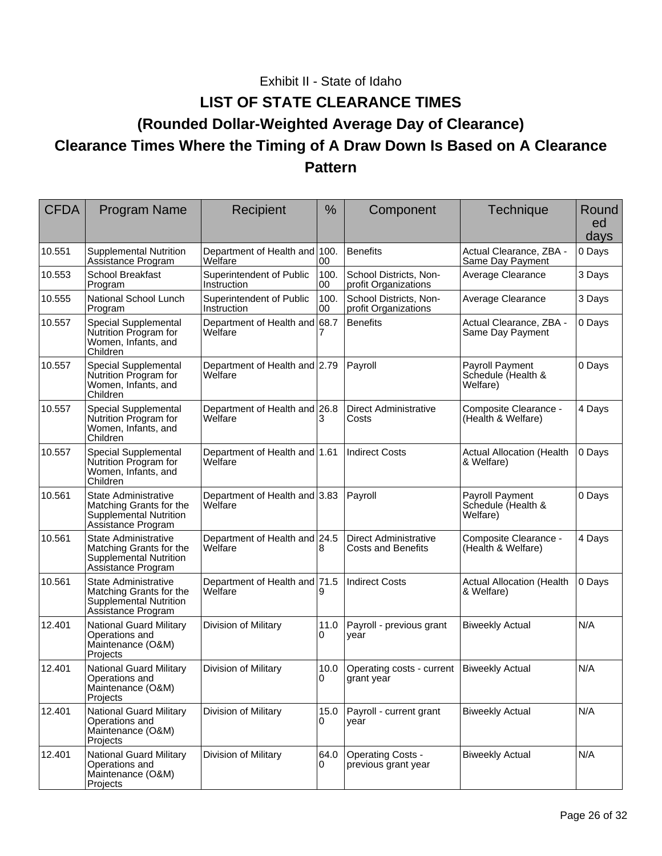# Exhibit II - State of Idaho

# **LIST OF STATE CLEARANCE TIMES (Rounded Dollar-Weighted Average Day of Clearance) Clearance Times Where the Timing of A Draw Down Is Based on A Clearance Pattern**

| <b>CFDA</b> | <b>Program Name</b>                                                                                    | Recipient                                | %          | Component                                                 | Technique                                         | Round<br>ed<br>days |
|-------------|--------------------------------------------------------------------------------------------------------|------------------------------------------|------------|-----------------------------------------------------------|---------------------------------------------------|---------------------|
| 10.551      | <b>Supplemental Nutrition</b><br>Assistance Program                                                    | Department of Health and 100.<br>Welfare | 00         | <b>Benefits</b>                                           | Actual Clearance, ZBA -<br>Same Day Payment       | 0 Days              |
| 10.553      | <b>School Breakfast</b><br>Program                                                                     | Superintendent of Public<br>Instruction  | 100.<br>00 | School Districts, Non-<br>profit Organizations            | Average Clearance                                 | 3 Days              |
| 10.555      | National School Lunch<br>Program                                                                       | Superintendent of Public<br>Instruction  | 100.<br>00 | School Districts, Non-<br>profit Organizations            | Average Clearance                                 | 3 Days              |
| 10.557      | Special Supplemental<br>Nutrition Program for<br>Women, Infants, and<br>Children                       | Department of Health and 68.7<br>Welfare |            | <b>Benefits</b>                                           | Actual Clearance, ZBA -<br>Same Day Payment       | 0 Days              |
| 10.557      | Special Supplemental<br>Nutrition Program for<br>Women, Infants, and<br>Children                       | Department of Health and 2.79<br>Welfare |            | Payroll                                                   | Payroll Payment<br>Schedule (Health &<br>Welfare) | 0 Days              |
| 10.557      | Special Supplemental<br>Nutrition Program for<br>Women, Infants, and<br>Children                       | Department of Health and 26.8<br>Welfare | 3          | <b>Direct Administrative</b><br>Costs                     | Composite Clearance -<br>(Health & Welfare)       | 4 Days              |
| 10.557      | Special Supplemental<br>Nutrition Program for<br>Women, Infants, and<br>Children                       | Department of Health and 1.61<br>Welfare |            | <b>Indirect Costs</b>                                     | <b>Actual Allocation (Health</b><br>& Welfare)    | 0 Days              |
| 10.561      | State Administrative<br>Matching Grants for the<br>Supplemental Nutrition<br>Assistance Program        | Department of Health and 3.83<br>Welfare |            | Payroll                                                   | Payroll Payment<br>Schedule (Health &<br>Welfare) | 0 Days              |
| 10.561      | State Administrative<br>Matching Grants for the<br><b>Supplemental Nutrition</b><br>Assistance Program | Department of Health and 24.5<br>Welfare | 8          | <b>Direct Administrative</b><br><b>Costs and Benefits</b> | Composite Clearance -<br>(Health & Welfare)       | 4 Days              |
| 10.561      | State Administrative<br>Matching Grants for the<br>Supplemental Nutrition<br>Assistance Program        | Department of Health and 71.5<br>Welfare | 9          | <b>Indirect Costs</b>                                     | <b>Actual Allocation (Health</b><br>& Welfare)    | 0 Days              |
| 12.401      | <b>National Guard Military</b><br>Operations and<br>Maintenance (O&M)<br>Projects                      | Division of Military                     | 11.0<br>0  | Payroll - previous grant<br>year                          | <b>Biweekly Actual</b>                            | N/A                 |
| 12.401      | <b>National Guard Military</b><br>Operations and<br>Maintenance (O&M)<br>Projects                      | Division of Military                     | 10.0<br>0  | Operating costs - current<br>grant year                   | <b>Biweekly Actual</b>                            | N/A                 |
| 12.401      | <b>National Guard Military</b><br>Operations and<br>Maintenance (O&M)<br>Projects                      | Division of Military                     | 15.0<br>0  | Payroll - current grant<br>year                           | <b>Biweekly Actual</b>                            | N/A                 |
| 12.401      | <b>National Guard Military</b><br>Operations and<br>Maintenance (O&M)<br>Projects                      | Division of Military                     | 64.0<br>0  | <b>Operating Costs -</b><br>previous grant year           | <b>Biweekly Actual</b>                            | N/A                 |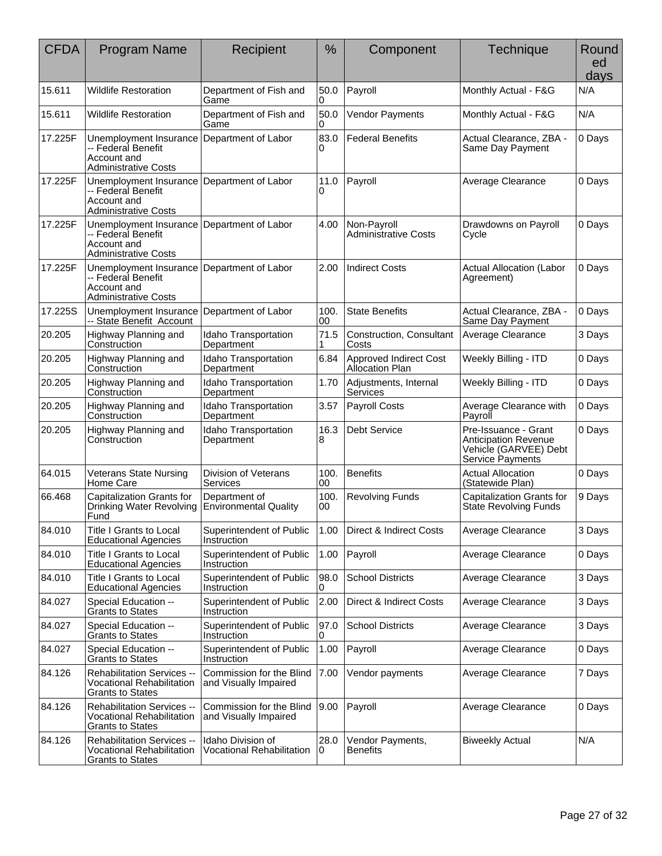| <b>CFDA</b> | <b>Program Name</b>                                                                        | Recipient                                             | $\frac{0}{0}$    | Component                                        | <b>Technique</b>                                                                                 | Round<br>ed<br>days |
|-------------|--------------------------------------------------------------------------------------------|-------------------------------------------------------|------------------|--------------------------------------------------|--------------------------------------------------------------------------------------------------|---------------------|
| 15.611      | <b>Wildlife Restoration</b>                                                                | Department of Fish and<br>Game                        | 50.0<br>0        | Payroll                                          | Monthly Actual - F&G                                                                             | N/A                 |
| 15.611      | <b>Wildlife Restoration</b>                                                                | Department of Fish and<br>Game                        | 50.0<br>$\Omega$ | <b>Vendor Payments</b>                           | Monthly Actual - F&G                                                                             | N/A                 |
| 17.225F     | Unemployment Insurance<br>-- Federal Benefit<br>Account and<br><b>Administrative Costs</b> | Department of Labor                                   | 83.0<br>0        | <b>Federal Benefits</b>                          | Actual Clearance, ZBA -<br>Same Day Payment                                                      | 0 Days              |
| 17.225F     | Unemployment Insurance<br>-- Federal Benefit<br>Account and<br><b>Administrative Costs</b> | Department of Labor                                   | 11.0<br>0        | Payroll                                          | Average Clearance                                                                                | 0 Days              |
| 17.225F     | Unemployment Insurance<br>-- Federal Benefit<br>Account and<br><b>Administrative Costs</b> | Department of Labor                                   | 4.00             | Non-Payroll<br><b>Administrative Costs</b>       | Drawdowns on Payroll<br>Cycle                                                                    | 0 Days              |
| 17.225F     | Unemployment Insurance<br>-- Federal Benefit<br>Account and<br><b>Administrative Costs</b> | Department of Labor                                   | 2.00             | <b>Indirect Costs</b>                            | <b>Actual Allocation (Labor</b><br>Agreement)                                                    | 0 Days              |
| 17.225S     | Unemployment Insurance<br>-- State Benefit Account                                         | Department of Labor                                   | 100.<br>00       | <b>State Benefits</b>                            | Actual Clearance, ZBA -<br>Same Day Payment                                                      | 0 Days              |
| 20.205      | Highway Planning and<br>Construction                                                       | Idaho Transportation<br>Department                    | 71.5             | Construction, Consultant<br>Costs                | Average Clearance                                                                                | 3 Days              |
| 20.205      | Highway Planning and<br>Construction                                                       | Idaho Transportation<br>Department                    | 6.84             | Approved Indirect Cost<br><b>Allocation Plan</b> | Weekly Billing - ITD                                                                             | 0 Days              |
| 20.205      | Highway Planning and<br>Construction                                                       | Idaho Transportation<br>Department                    | 1.70             | Adjustments, Internal<br>Services                | Weekly Billing - ITD                                                                             | 0 Days              |
| 20.205      | Highway Planning and<br>Construction                                                       | Idaho Transportation<br>Department                    | 3.57             | Payroll Costs                                    | Average Clearance with<br>Payroll                                                                | 0 Days              |
| 20.205      | Highway Planning and<br>Construction                                                       | Idaho Transportation<br>Department                    | 16.3<br>8        | Debt Service                                     | Pre-Issuance - Grant<br><b>Anticipation Revenue</b><br>Vehicle (GARVEE) Debt<br>Service Payments | 0 Days              |
| 64.015      | <b>Veterans State Nursing</b><br>Home Care                                                 | Division of Veterans<br>Services                      | 100.<br>00       | <b>Benefits</b>                                  | <b>Actual Allocation</b><br>(Statewide Plan)                                                     | 0 Days              |
| 66.468      | <b>Capitalization Grants for</b><br>Drinking Water Revolving<br>Fund                       | Department of<br><b>Environmental Quality</b>         | 100.<br>00       | <b>Revolving Funds</b>                           | Capitalization Grants for<br><b>State Revolving Funds</b>                                        | 9 Days              |
| 84.010      | <b>Title I Grants to Local</b><br><b>Educational Agencies</b>                              | Superintendent of Public<br>Instruction               | 1.00             | Direct & Indirect Costs                          | Average Clearance                                                                                | 3 Days              |
| 84.010      | Title I Grants to Local<br><b>Educational Agencies</b>                                     | Superintendent of Public<br>Instruction               | 1.00             | Payroll                                          | Average Clearance                                                                                | 0 Days              |
| 84.010      | Title I Grants to Local<br><b>Educational Agencies</b>                                     | Superintendent of Public<br>Instruction               | 98.0<br>0        | <b>School Districts</b>                          | Average Clearance                                                                                | 3 Days              |
| 84.027      | Special Education --<br><b>Grants to States</b>                                            | Superintendent of Public<br>Instruction               | 2.00             | Direct & Indirect Costs                          | Average Clearance                                                                                | 3 Days              |
| 84.027      | Special Education --<br><b>Grants to States</b>                                            | Superintendent of Public<br>Instruction               | 97.0<br>0        | <b>School Districts</b>                          | Average Clearance                                                                                | 3 Days              |
| 84.027      | Special Education --<br><b>Grants to States</b>                                            | Superintendent of Public<br>Instruction               | 1.00             | Payroll                                          | Average Clearance                                                                                | 0 Days              |
| 84.126      | Rehabilitation Services --<br><b>Vocational Rehabilitation</b><br><b>Grants to States</b>  | Commission for the Blind<br>and Visually Impaired     | 7.00             | Vendor payments                                  | Average Clearance                                                                                | 7 Days              |
| 84.126      | Rehabilitation Services --<br><b>Vocational Rehabilitation</b><br><b>Grants to States</b>  | Commission for the Blind<br>and Visually Impaired     | 9.00             | Payroll                                          | Average Clearance                                                                                | 0 Days              |
| 84.126      | Rehabilitation Services --<br><b>Vocational Rehabilitation</b><br><b>Grants to States</b>  | Idaho Division of<br><b>Vocational Rehabilitation</b> | 28.0<br>0        | Vendor Payments,<br><b>Benefits</b>              | <b>Biweekly Actual</b>                                                                           | N/A                 |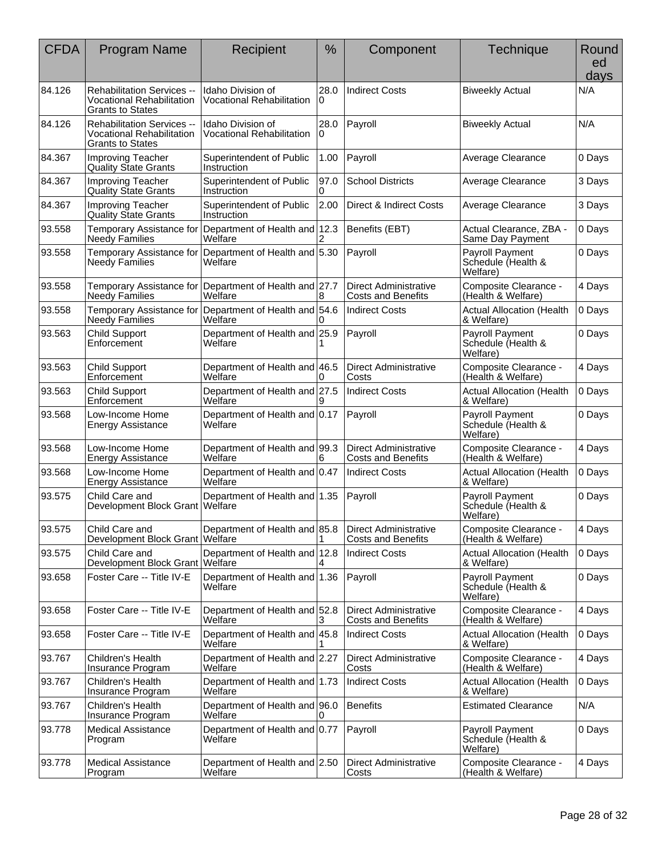| <b>CFDA</b> | <b>Program Name</b>                                                                              | Recipient                                             | $\frac{0}{0}$ | Component                                                 | Technique                                                | Round<br>ed<br>days |
|-------------|--------------------------------------------------------------------------------------------------|-------------------------------------------------------|---------------|-----------------------------------------------------------|----------------------------------------------------------|---------------------|
| 84.126      | <b>Rehabilitation Services --</b><br><b>Vocational Rehabilitation</b><br><b>Grants to States</b> | Idaho Division of<br>Vocational Rehabilitation        | 28.0<br>0     | <b>Indirect Costs</b>                                     | <b>Biweekly Actual</b>                                   | N/A                 |
| 84.126      | Rehabilitation Services --<br><b>Vocational Rehabilitation</b><br><b>Grants to States</b>        | Idaho Division of<br><b>Vocational Rehabilitation</b> | 28.0          | Payroll                                                   | <b>Biweekly Actual</b>                                   | N/A                 |
| 84.367      | Improving Teacher<br><b>Quality State Grants</b>                                                 | Superintendent of Public<br>Instruction               | 1.00          | Payroll                                                   | Average Clearance                                        | 0 Days              |
| 84.367      | Improving Teacher<br><b>Quality State Grants</b>                                                 | Superintendent of Public<br>Instruction               | 97.0<br>0     | <b>School Districts</b>                                   | Average Clearance                                        | 3 Days              |
| 84.367      | <b>Improving Teacher</b><br><b>Quality State Grants</b>                                          | Superintendent of Public<br>Instruction               | 2.00          | Direct & Indirect Costs                                   | Average Clearance                                        | 3 Days              |
| 93.558      | Temporary Assistance for<br>Needy Families                                                       | Department of Health and 12.3<br>Welfare              |               | Benefits (EBT)                                            | Actual Clearance, ZBA -<br>Same Day Payment              | 0 Days              |
| 93.558      | Temporary Assistance for<br><b>Needy Families</b>                                                | Department of Health and 5.30<br>Welfare              |               | Payroll                                                   | <b>Payroll Payment</b><br>Schedule (Health &<br>Welfare) | 0 Days              |
| 93.558      | Temporary Assistance for<br>Needy Families                                                       | Department of Health and 27.7<br>Welfare              | 8             | <b>Direct Administrative</b><br><b>Costs and Benefits</b> | Composite Clearance -<br>(Health & Welfare)              | 4 Days              |
| 93.558      | Temporary Assistance for<br><b>Needy Families</b>                                                | Department of Health and 54.6<br>Welfare              |               | <b>Indirect Costs</b>                                     | <b>Actual Allocation (Health</b><br>& Welfare)           | 0 Days              |
| 93.563      | <b>Child Support</b><br>Enforcement                                                              | Department of Health and 25.9<br>Welfare              |               | Payroll                                                   | <b>Payroll Payment</b><br>Schedule (Health &<br>Welfare) | 0 Days              |
| 93.563      | <b>Child Support</b><br>Enforcement                                                              | Department of Health and 46.5<br>Welfare              | 0             | <b>Direct Administrative</b><br>Costs                     | Composite Clearance -<br>(Health & Welfare)              | 4 Days              |
| 93.563      | <b>Child Support</b><br>Enforcement                                                              | Department of Health and 27.5<br>Welfare              | 9             | <b>Indirect Costs</b>                                     | <b>Actual Allocation (Health</b><br>& Welfare)           | 0 Days              |
| 93.568      | Low-Income Home<br><b>Energy Assistance</b>                                                      | Department of Health and 0.17<br>Welfare              |               | Payroll                                                   | <b>Payroll Payment</b><br>Schedule (Health &<br>Welfare) | 0 Days              |
| 93.568      | Low-Income Home<br><b>Energy Assistance</b>                                                      | Department of Health and 99.3<br>Welfare              | 6             | <b>Direct Administrative</b><br><b>Costs and Benefits</b> | Composite Clearance -<br>(Health & Welfare)              | 4 Days              |
| 93.568      | Low-Income Home<br><b>Energy Assistance</b>                                                      | Department of Health and 0.47<br>Welfare              |               | <b>Indirect Costs</b>                                     | <b>Actual Allocation (Health</b><br>& Welfare)           | 0 Days              |
| 93.575      | Child Care and<br>Development Block Grant Welfare                                                | Department of Health and 1.35                         |               | Payroll                                                   | Payroll Payment<br>Schedule (Health &<br>Welfare)        | 0 Days              |
| 93.575      | Child Care and<br>Development Block Grant   Welfare                                              | Department of Health and 85.8                         |               | <b>Direct Administrative</b><br><b>Costs and Benefits</b> | Composite Clearance -<br>(Health & Welfare)              | 4 Days              |
| 93.575      | Child Care and<br>Development Block Grant Welfare                                                | Department of Health and 12.8                         |               | <b>Indirect Costs</b>                                     | <b>Actual Allocation (Health</b><br>& Welfare)           | 0 Days              |
| 93.658      | Foster Care -- Title IV-E                                                                        | Department of Health and 1.36<br>Welfare              |               | Payroll                                                   | Payroll Payment<br>Schedule (Health &<br>Welfare)        | 0 Days              |
| 93.658      | Foster Care -- Title IV-E                                                                        | Department of Health and 52.8<br>Welfare              | 3             | <b>Direct Administrative</b><br><b>Costs and Benefits</b> | Composite Clearance -<br>(Health & Welfare)              | 4 Days              |
| 93.658      | Foster Care -- Title IV-E                                                                        | Department of Health and 45.8<br>Welfare              |               | <b>Indirect Costs</b>                                     | <b>Actual Allocation (Health</b><br>& Welfare)           | 0 Days              |
| 93.767      | Children's Health<br>Insurance Program                                                           | Department of Health and 2.27<br>Welfare              |               | <b>Direct Administrative</b><br>Costs                     | Composite Clearance -<br>(Health & Welfare)              | 4 Days              |
| 93.767      | Children's Health<br>Insurance Program                                                           | Department of Health and 1.73<br>Welfare              |               | <b>Indirect Costs</b>                                     | <b>Actual Allocation (Health</b><br>& Welfare)           | 0 Days              |
| 93.767      | Children's Health<br>Insurance Program                                                           | Department of Health and 96.0<br>Welfare              | 0             | <b>Benefits</b>                                           | <b>Estimated Clearance</b>                               | N/A                 |
| 93.778      | <b>Medical Assistance</b><br>Program                                                             | Department of Health and 0.77<br>Welfare              |               | Payroll                                                   | <b>Payroll Payment</b><br>Schedule (Health &<br>Welfare) | 0 Days              |
| 93.778      | <b>Medical Assistance</b><br>Program                                                             | Department of Health and 2.50<br>Welfare              |               | <b>Direct Administrative</b><br>Costs                     | Composite Clearance -<br>(Health & Welfare)              | 4 Days              |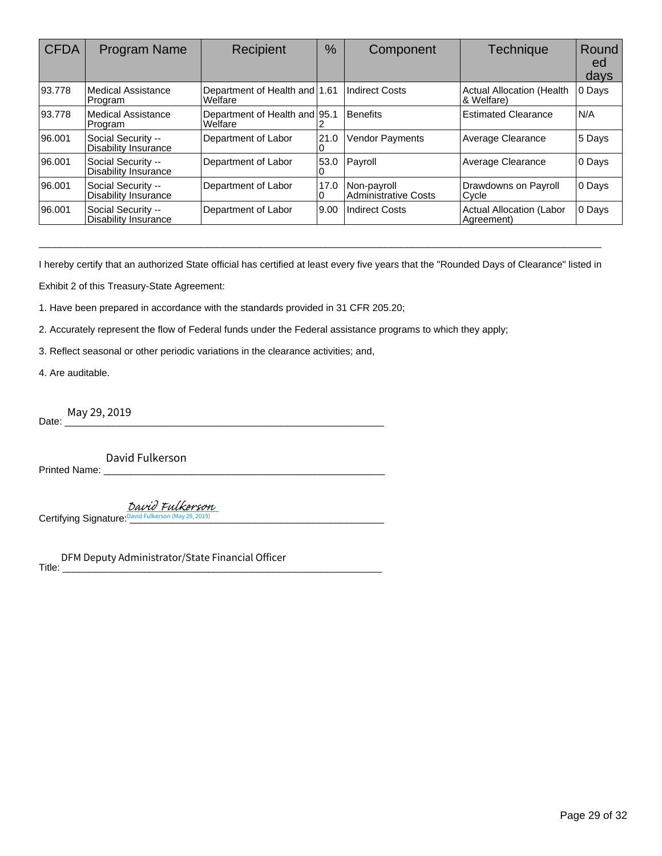| <b>CFDA</b> | Program Name                                      | Recipient                                | %         | Component                                  | <b>Technique</b>                               | Round<br>ed<br>days |
|-------------|---------------------------------------------------|------------------------------------------|-----------|--------------------------------------------|------------------------------------------------|---------------------|
| 93.778      | Medical Assistance<br>Program                     | Department of Health and 1.61<br>Welfare |           | <b>Indirect Costs</b>                      | <b>Actual Allocation (Health</b><br>& Welfare) | 0 Days              |
| 93.778      | Medical Assistance<br><b>Program</b>              | Department of Health and 95.1<br>Welfare |           | <b>Benefits</b>                            | <b>Estimated Clearance</b>                     | N/A                 |
| 96.001      | Social Security --<br><b>Disability Insurance</b> | Department of Labor                      | 21.0<br>0 | Vendor Payments                            | Average Clearance                              | 5 Days              |
| 96.001      | Social Security --<br><b>Disability Insurance</b> | Department of Labor                      | 53.0<br>0 | Payroll                                    | Average Clearance                              | 0 Days              |
| 96.001      | Social Security --<br><b>Disability Insurance</b> | Department of Labor                      | 17.0<br>0 | Non-payroll<br><b>Administrative Costs</b> | Drawdowns on Payroll<br>Cycle                  | 0 Days              |
| 96.001      | Social Security --<br><b>Disability Insurance</b> | Department of Labor                      | 9.00      | <b>Indirect Costs</b>                      | <b>Actual Allocation (Labor</b><br>Agreement)  | 0 Days              |

I hereby certify that an authorized State official has certified at least every five years that the "Rounded Days of Clearance" listed in

\_\_\_\_\_\_\_\_\_\_\_\_\_\_\_\_\_\_\_\_\_\_\_\_\_\_\_\_\_\_\_\_\_\_\_\_\_\_\_\_\_\_\_\_\_\_\_\_\_\_\_\_\_\_\_\_\_\_\_\_\_\_\_\_\_\_\_\_\_\_\_\_\_\_\_\_\_\_\_\_\_\_\_\_\_\_\_\_\_\_\_\_\_\_\_\_\_\_\_\_\_\_\_\_

Exhibit 2 of this Treasury-State Agreement:

1. Have been prepared in accordance with the standards provided in 31 CFR 205.20;

2. Accurately represent the flow of Federal funds under the Federal assistance programs to which they apply;

3. Reflect seasonal or other periodic variations in the clearance activities; and,

4. Are auditable.

Date: <u>May</u> 29, 2019

Printed Name: \_\_\_\_\_\_\_\_\_\_\_\_\_\_\_\_\_\_\_\_\_\_\_\_\_\_\_\_\_\_\_\_\_\_\_\_\_\_\_\_\_\_\_\_\_\_\_\_\_\_\_\_

Certifying Signature[: \\_\\_\\_\\_\\_\\_\\_\\_\\_\\_\\_\\_\\_\\_\\_\\_\\_\\_\\_\\_\\_\\_\\_\\_\\_\\_\\_\\_\\_\\_\\_\\_\\_\\_\\_\\_\\_\\_\\_\\_\\_\\_](https://cmiaelectronicsignature.na2.echosign.com/verifier?tx=CBJCHBCAABAAcYJUR6XP0DRvggYfWopslXhLyErhoTlm)\_\_\_\_\_ David Fulkerson (May 29, 2019) David Fulkerson

Title: \_\_\_\_\_\_\_\_\_\_\_\_\_\_\_\_\_\_\_\_\_\_\_\_\_\_\_\_\_\_\_\_\_\_\_\_\_\_\_\_\_\_\_\_\_\_\_\_\_\_\_\_\_\_\_\_\_\_\_ May 29, 2019<br>David Fulkerson<br>Ed Name: David Fulkerson May 29, 2019<br>Ving Signature: David Fulkerson (May 29, 2019)<br>DFM Deputy Administrator/State Financial Officer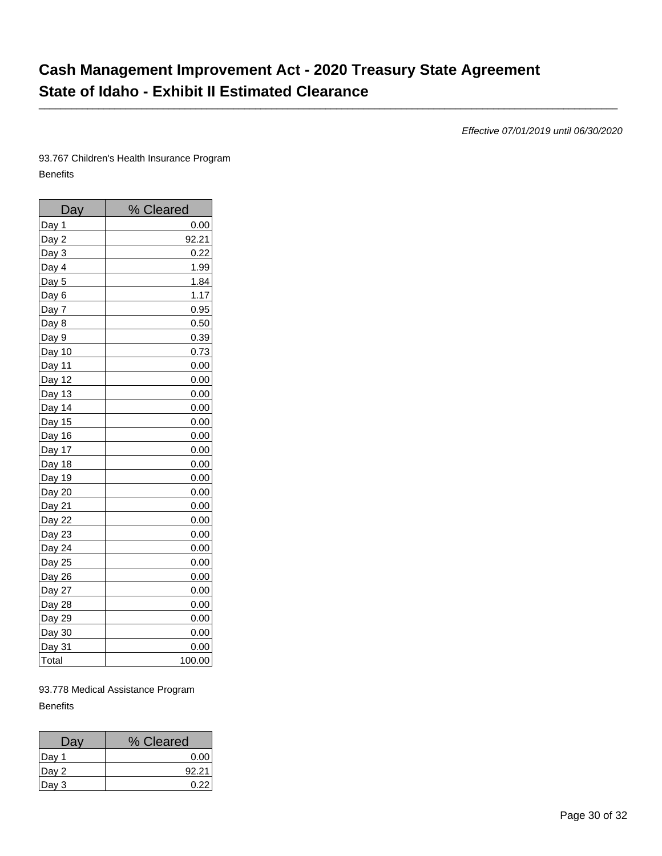# **Cash Management Improvement Act - 2020 Treasury State Agreement State of Idaho - Exhibit II Estimated Clearance**

\_\_\_\_\_\_\_\_\_\_\_\_\_\_\_\_\_\_\_\_\_\_\_\_\_\_\_\_\_\_\_\_\_\_\_\_\_\_\_\_\_\_\_\_\_\_\_\_\_\_\_\_\_\_\_\_\_\_\_\_\_\_\_\_\_\_\_\_\_\_\_\_\_\_\_\_\_\_\_\_\_\_\_\_\_\_\_\_\_\_\_\_\_\_\_\_\_\_\_\_\_\_\_\_\_\_\_

Effective 07/01/2019 until 06/30/2020

93.767 Children's Health Insurance Program Benefits

| Day     | % Cleared |
|---------|-----------|
| Day 1   | 0.00      |
| Day $2$ | 92.21     |
| Day 3   | 0.22      |
| Day 4   | 1.99      |
| Day 5   | 1.84      |
| Day 6   | 1.17      |
| Day 7   | 0.95      |
| Day 8   | 0.50      |
| Day 9   | 0.39      |
| Day 10  | 0.73      |
| Day 11  | 0.00      |
| Day 12  | 0.00      |
| Day 13  | 0.00      |
| Day 14  | 0.00      |
| Day 15  | 0.00      |
| Day 16  | 0.00      |
| Day 17  | 0.00      |
| Day 18  | 0.00      |
| Day 19  | 0.00      |
| Day 20  | 0.00      |
| Day 21  | 0.00      |
| Day 22  | 0.00      |
| Day 23  | 0.00      |
| Day 24  | 0.00      |
| Day 25  | 0.00      |
| Day 26  | 0.00      |
| Day 27  | 0.00      |
| Day 28  | 0.00      |
| Day 29  | 0.00      |
| Day 30  | 0.00      |
| Day 31  | 0.00      |
| Total   | 100.00    |

93.778 Medical Assistance Program **Benefits** 

| Day    | % Cleared |
|--------|-----------|
| ∣Day 1 | 0.00      |
| Day 2  | 92.21     |
| Day 3  | 0.22      |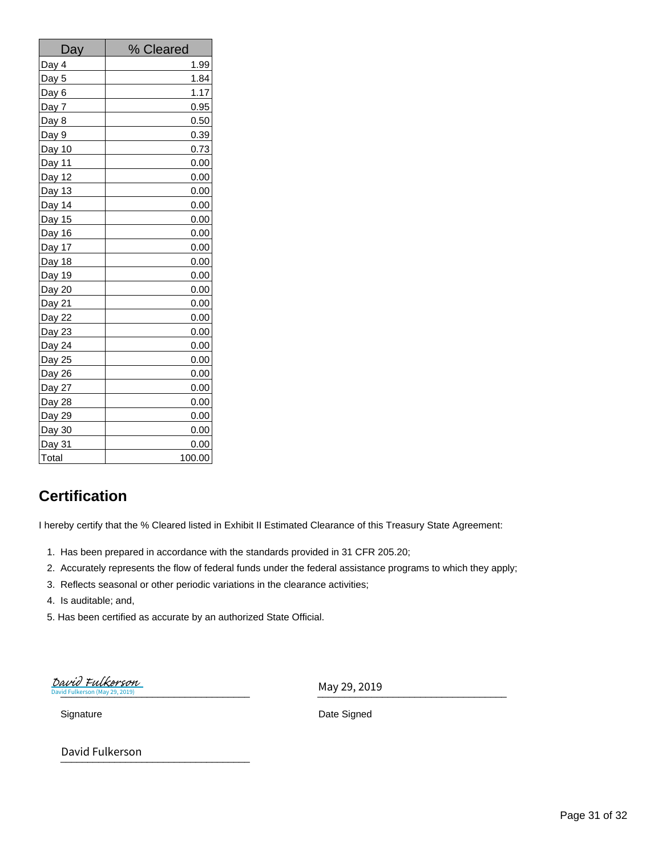| Day    | % Cleared |
|--------|-----------|
| Day 4  | 1.99      |
| Day 5  | 1.84      |
| Day 6  | 1.17      |
| Day 7  | 0.95      |
| Day 8  | 0.50      |
| Day 9  | 0.39      |
| Day 10 | 0.73      |
| Day 11 | 0.00      |
| Day 12 | 0.00      |
| Day 13 | 0.00      |
| Day 14 | 0.00      |
| Day 15 | 0.00      |
| Day 16 | 0.00      |
| Day 17 | 0.00      |
| Day 18 | 0.00      |
| Day 19 | 0.00      |
| Day 20 | 0.00      |
| Day 21 | 0.00      |
| Day 22 | 0.00      |
| Day 23 | 0.00      |
| Day 24 | 0.00      |
| Day 25 | 0.00      |
| Day 26 | 0.00      |
| Day 27 | 0.00      |
| Day 28 | 0.00      |
| Day 29 | 0.00      |
| Day 30 | 0.00      |
| Day 31 | 0.00      |
| Total  | 100.00    |

# **Certification**

I hereby certify that the % Cleared listed in Exhibit II Estimated Clearance of this Treasury State Agreement:

- 1. Has been prepared in accordance with the standards provided in 31 CFR 205.20;
- 2. Accurately represents the flow of federal funds under the federal assistance programs to which they apply;
- 3. Reflects seasonal or other periodic variations in the clearance activities;
- 4. Is auditable; and,
- 5. Has been certified as accurate by an authorized State Official.

 $_2$  David Fulkerson (May 29, 2019) erson (May 29, 201 David Fulkerson

May 29, 2019

Signature Date Signed

\_\_\_\_\_\_\_\_\_\_\_\_\_\_\_\_\_\_\_\_\_\_\_\_\_\_\_\_\_\_\_\_\_\_\_ David Fulkerson